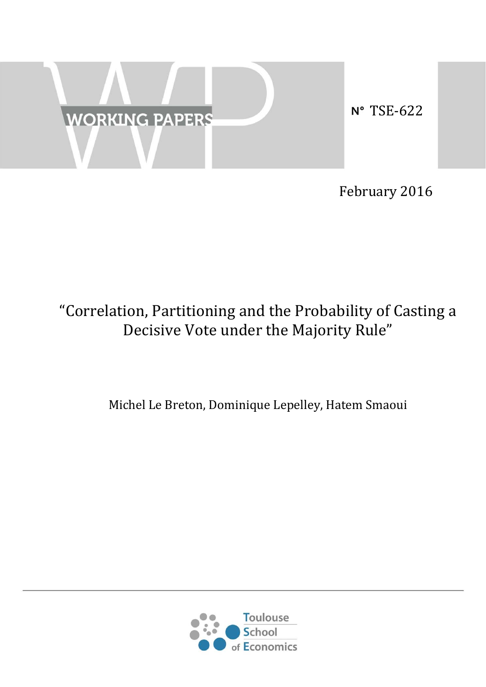

February 2016

# "Correlation, Partitioning and the Probability of Casting a Decisive Vote under the Majority Rule"

Michel Le Breton, Dominique Lepelley, Hatem Smaoui

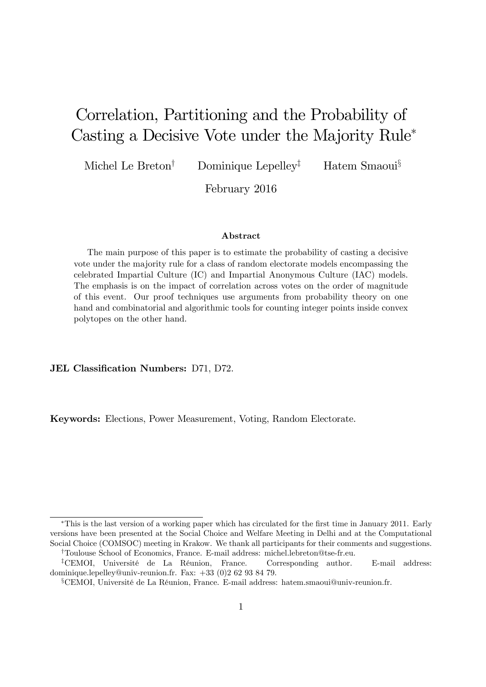# Correlation, Partitioning and the Probability of Casting a Decisive Vote under the Majority Rule

Michel Le Breton<sup>†</sup> Dominique Lepelley<sup>‡</sup> Hatem Smaoui<sup>§</sup>

February 2016

#### Abstract

The main purpose of this paper is to estimate the probability of casting a decisive vote under the majority rule for a class of random electorate models encompassing the celebrated Impartial Culture (IC) and Impartial Anonymous Culture (IAC) models. The emphasis is on the impact of correlation across votes on the order of magnitude of this event. Our proof techniques use arguments from probability theory on one hand and combinatorial and algorithmic tools for counting integer points inside convex polytopes on the other hand.

JEL Classification Numbers: D71, D72.

Keywords: Elections, Power Measurement, Voting, Random Electorate.

<sup>\*</sup>This is the last version of a working paper which has circulated for the first time in January 2011. Early versions have been presented at the Social Choice and Welfare Meeting in Delhi and at the Computational Social Choice (COMSOC) meeting in Krakow. We thank all participants for their comments and suggestions. <sup>†</sup>Toulouse School of Economics, France. E-mail address: michel.lebreton@tse-fr.eu.

<sup>&</sup>lt;sup>‡</sup>CEMOI, Université de La Réunion, France. Corresponding author. E-mail address: dominique.lepelley@univ-reunion.fr. Fax: +33 (0)2 62 93 84 79.

<sup>x</sup>CEMOI, UniversitÈ de La RÈunion, France. E-mail address: hatem.smaoui@univ-reunion.fr.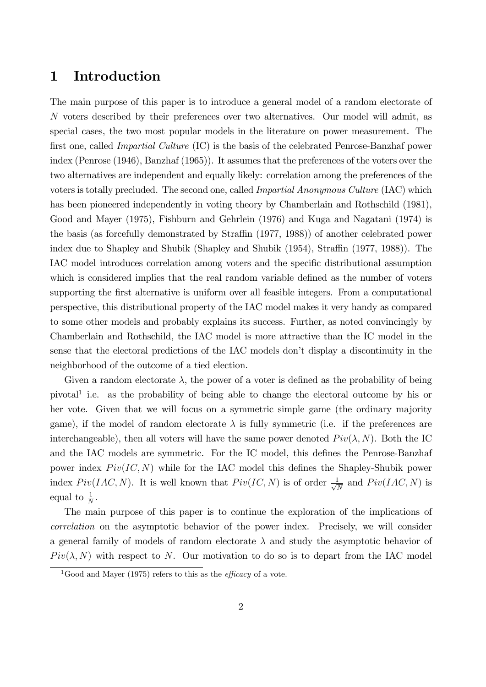## 1 Introduction

The main purpose of this paper is to introduce a general model of a random electorate of N voters described by their preferences over two alternatives. Our model will admit, as special cases, the two most popular models in the literature on power measurement. The first one, called *Impartial Culture* (IC) is the basis of the celebrated Penrose-Banzhaf power index (Penrose (1946), Banzhaf (1965)). It assumes that the preferences of the voters over the two alternatives are independent and equally likely: correlation among the preferences of the voters is totally precluded. The second one, called Impartial Anonymous Culture (IAC) which has been pioneered independently in voting theory by Chamberlain and Rothschild (1981), Good and Mayer (1975), Fishburn and Gehrlein (1976) and Kuga and Nagatani (1974) is the basis (as forcefully demonstrated by Straffin (1977, 1988)) of another celebrated power index due to Shapley and Shubik (Shapley and Shubik (1954), Straffin (1977, 1988)). The IAC model introduces correlation among voters and the specific distributional assumption which is considered implies that the real random variable defined as the number of voters supporting the first alternative is uniform over all feasible integers. From a computational perspective, this distributional property of the IAC model makes it very handy as compared to some other models and probably explains its success. Further, as noted convincingly by Chamberlain and Rothschild, the IAC model is more attractive than the IC model in the sense that the electoral predictions of the IAC models donít display a discontinuity in the neighborhood of the outcome of a tied election.

Given a random electorate  $\lambda$ , the power of a voter is defined as the probability of being pivotal<sup>1</sup> i.e. as the probability of being able to change the electoral outcome by his or her vote. Given that we will focus on a symmetric simple game (the ordinary majority game), if the model of random electorate  $\lambda$  is fully symmetric (i.e. if the preferences are interchangeable), then all voters will have the same power denoted  $Piv(\lambda, N)$ . Both the IC and the IAC models are symmetric. For the IC model, this defines the Penrose-Banzhaf power index  $Piv(IC, N)$  while for the IAC model this defines the Shapley-Shubik power index  $Piv(IAC, N)$ . It is well known that  $Piv(IC, N)$  is of order  $\frac{1}{\sqrt{2}}$  $\frac{1}{\overline{N}}$  and  $Piv(IAC, N)$  is equal to  $\frac{1}{N}$ .

The main purpose of this paper is to continue the exploration of the implications of correlation on the asymptotic behavior of the power index. Precisely, we will consider a general family of models of random electorate  $\lambda$  and study the asymptotic behavior of  $Piv(\lambda, N)$  with respect to N. Our motivation to do so is to depart from the IAC model

<sup>&</sup>lt;sup>1</sup>Good and Mayer (1975) refers to this as the *efficacy* of a vote.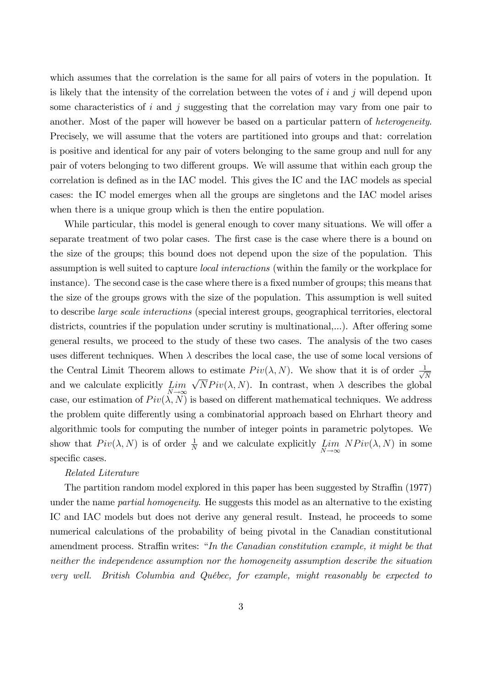which assumes that the correlation is the same for all pairs of voters in the population. It is likely that the intensity of the correlation between the votes of  $i$  and  $j$  will depend upon some characteristics of i and j suggesting that the correlation may vary from one pair to another. Most of the paper will however be based on a particular pattern of heterogeneity. Precisely, we will assume that the voters are partitioned into groups and that: correlation is positive and identical for any pair of voters belonging to the same group and null for any pair of voters belonging to two different groups. We will assume that within each group the correlation is defined as in the IAC model. This gives the IC and the IAC models as special cases: the IC model emerges when all the groups are singletons and the IAC model arises when there is a unique group which is then the entire population.

While particular, this model is general enough to cover many situations. We will offer a separate treatment of two polar cases. The first case is the case where there is a bound on the size of the groups; this bound does not depend upon the size of the population. This assumption is well suited to capture local interactions (within the family or the workplace for instance). The second case is the case where there is a fixed number of groups; this means that the size of the groups grows with the size of the population. This assumption is well suited to describe large scale interactions (special interest groups, geographical territories, electoral districts, countries if the population under scrutiny is multinational,...). After offering some general results, we proceed to the study of these two cases. The analysis of the two cases uses different techniques. When  $\lambda$  describes the local case, the use of some local versions of the Central Limit Theorem allows to estimate  $Piv(\lambda, N)$ . We show that it is of order  $\frac{1}{\sqrt{N}}$ N and we calculate explicitly  $Lim$  $N \rightarrow \infty$  $\sqrt{N}Piv(\lambda, N)$ . In contrast, when  $\lambda$  describes the global case, our estimation of  $Piv(\lambda, N)$  is based on different mathematical techniques. We address the problem quite differently using a combinatorial approach based on Ehrhart theory and algorithmic tools for computing the number of integer points in parametric polytopes. We show that  $Piv(\lambda, N)$  is of order  $\frac{1}{N}$  and we calculate explicitly  $\lim_{N \to \infty}$  $N \rightarrow \infty$  $NPiv(\lambda, N)$  in some specific cases.

#### Related Literature

The partition random model explored in this paper has been suggested by  $Straffin (1977)$ under the name *partial homogeneity*. He suggests this model as an alternative to the existing IC and IAC models but does not derive any general result. Instead, he proceeds to some numerical calculations of the probability of being pivotal in the Canadian constitutional amendment process. Straffin writes: "In the Canadian constitution example, it might be that neither the independence assumption nor the homogeneity assumption describe the situation very well. British Columbia and QuÈbec, for example, might reasonably be expected to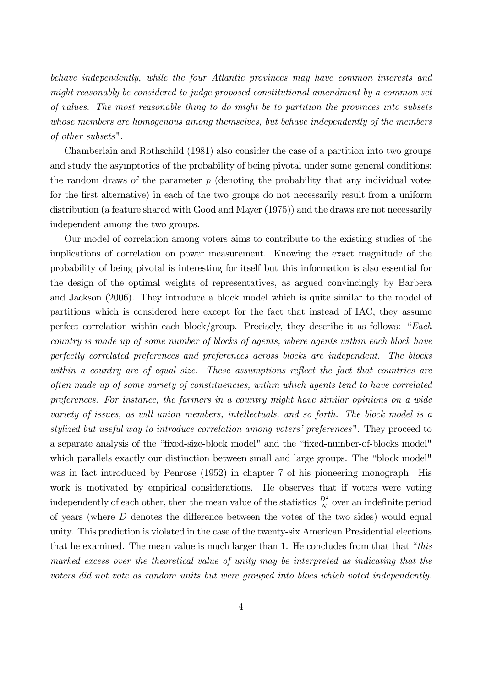behave independently, while the four Atlantic provinces may have common interests and might reasonably be considered to judge proposed constitutional amendment by a common set of values. The most reasonable thing to do might be to partition the provinces into subsets whose members are homogenous among themselves, but behave independently of the members of other subsets".

Chamberlain and Rothschild (1981) also consider the case of a partition into two groups and study the asymptotics of the probability of being pivotal under some general conditions: the random draws of the parameter  $p$  (denoting the probability that any individual votes for the first alternative) in each of the two groups do not necessarily result from a uniform distribution (a feature shared with Good and Mayer (1975)) and the draws are not necessarily independent among the two groups.

Our model of correlation among voters aims to contribute to the existing studies of the implications of correlation on power measurement. Knowing the exact magnitude of the probability of being pivotal is interesting for itself but this information is also essential for the design of the optimal weights of representatives, as argued convincingly by Barbera and Jackson (2006). They introduce a block model which is quite similar to the model of partitions which is considered here except for the fact that instead of IAC, they assume perfect correlation within each block/group. Precisely, they describe it as follows:  $Each$ country is made up of some number of blocks of agents, where agents within each block have perfectly correlated preferences and preferences across blocks are independent. The blocks within a country are of equal size. These assumptions reflect the fact that countries are often made up of some variety of constituencies, within which agents tend to have correlated preferences. For instance, the farmers in a country might have similar opinions on a wide variety of issues, as will union members, intellectuals, and so forth. The block model is a stylized but useful way to introduce correlation among voters' preferences". They proceed to a separate analysis of the "fixed-size-block model" and the "fixed-number-of-blocks model" which parallels exactly our distinction between small and large groups. The "block model" was in fact introduced by Penrose (1952) in chapter 7 of his pioneering monograph. His work is motivated by empirical considerations. He observes that if voters were voting independently of each other, then the mean value of the statistics  $\frac{D^2}{N}$  over an indefinite period of years (where  $D$  denotes the difference between the votes of the two sides) would equal unity. This prediction is violated in the case of the twenty-six American Presidential elections that he examined. The mean value is much larger than 1. He concludes from that that "*this* marked excess over the theoretical value of unity may be interpreted as indicating that the voters did not vote as random units but were grouped into blocs which voted independently.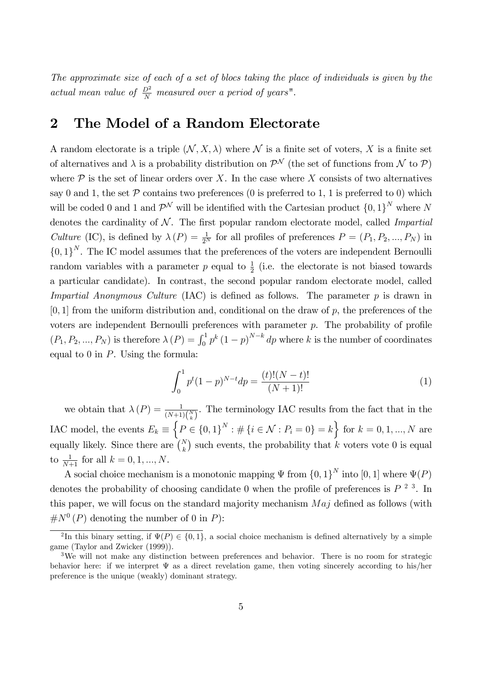The approximate size of each of a set of blocs taking the place of individuals is given by the actual mean value of  $\frac{D^2}{N}$  measured over a period of years".

## 2 The Model of a Random Electorate

A random electorate is a triple  $(\mathcal{N}, X, \lambda)$  where  $\mathcal N$  is a finite set of voters, X is a finite set of alternatives and  $\lambda$  is a probability distribution on  $\mathcal{P}^{\mathcal{N}}$  (the set of functions from  $\mathcal{N}$  to  $\mathcal{P}$ ) where  $P$  is the set of linear orders over X. In the case where X consists of two alternatives say 0 and 1, the set  $P$  contains two preferences (0 is preferred to 1, 1 is preferred to 0) which will be coded 0 and 1 and  $\mathcal{P}^{\mathcal{N}}$  will be identified with the Cartesian product  $\{0,1\}^N$  where N denotes the cardinality of  $N$ . The first popular random electorate model, called *Impartial* Culture (IC), is defined by  $\lambda(P) = \frac{1}{2^N}$  for all profiles of preferences  $P = (P_1, P_2, ..., P_N)$  in  ${0,1}^N$ . The IC model assumes that the preferences of the voters are independent Bernoulli random variables with a parameter  $p$  equal to  $\frac{1}{2}$  (i.e. the electorate is not biased towards a particular candidate). In contrast, the second popular random electorate model, called *Impartial Anonymous Culture* (IAC) is defined as follows. The parameter  $p$  is drawn in  $[0, 1]$  from the uniform distribution and, conditional on the draw of p, the preferences of the voters are independent Bernoulli preferences with parameter  $p$ . The probability of profile  $(P_1, P_2, ..., P_N)$  is therefore  $\lambda(P) = \int_0^1 p^k (1-p)^{N-k} dp$  where k is the number of coordinates equal to  $0$  in  $P$ . Using the formula:

$$
\int_0^1 p^t (1-p)^{N-t} dp = \frac{(t)!(N-t)!}{(N+1)!}
$$
 (1)

we obtain that  $\lambda(P) = \frac{1}{(N+1)\binom{N}{k}}$ . The terminology IAC results from the fact that in the IAC model, the events  $E_k \equiv \{P \in \{0,1\}^N : \#\{i \in \mathcal{N} : P_i = 0\} = k\}$  for  $k = 0, 1, ..., N$  are equally likely. Since there are  $\binom{N}{k}$  such events, the probability that k voters vote 0 is equal to  $\frac{1}{N+1}$  for all  $k = 0, 1, ..., N$ .

A social choice mechanism is a monotonic mapping  $\Psi$  from  $\{0,1\}^N$  into  $[0,1]$  where  $\Psi(P)$ denotes the probability of choosing candidate 0 when the profile of preferences is  $P^{2,3}$ . In this paper, we will focus on the standard majority mechanism  $Maj$  defined as follows (with  $\#N^0(P)$  denoting the number of 0 in P):

<sup>&</sup>lt;sup>2</sup>In this binary setting, if  $\Psi(P) \in \{0, 1\}$ , a social choice mechanism is defined alternatively by a simple game (Taylor and Zwicker (1999)).

<sup>&</sup>lt;sup>3</sup>We will not make any distinction between preferences and behavior. There is no room for strategic behavior here: if we interpret  $\Psi$  as a direct revelation game, then voting sincerely according to his/her preference is the unique (weakly) dominant strategy.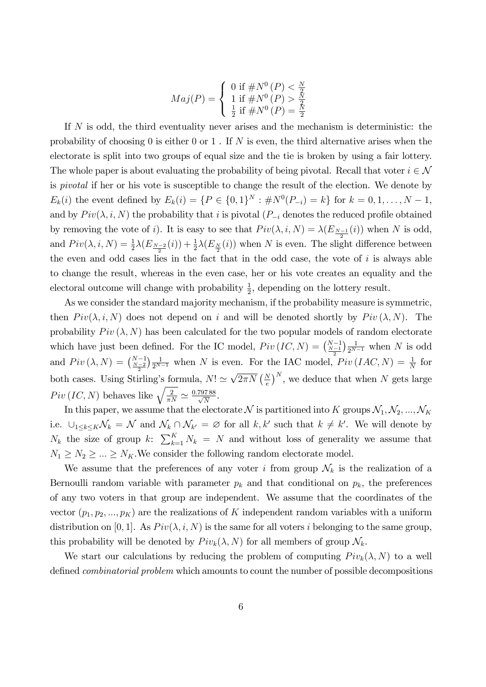$$
Maj(P) = \begin{cases} 0 \text{ if } \#N^0(P) < \frac{N}{2} \\ 1 \text{ if } \#N^0(P) > \frac{N}{2} \\ \frac{1}{2} \text{ if } \#N^0(P) = \frac{N}{2} \end{cases}
$$

If N is odd, the third eventuality never arises and the mechanism is deterministic: the probability of choosing  $0$  is either  $0$  or  $1$ . If  $N$  is even, the third alternative arises when the electorate is split into two groups of equal size and the tie is broken by using a fair lottery. The whole paper is about evaluating the probability of being pivotal. Recall that voter  $i \in \mathcal{N}$ is *pivotal* if her or his vote is susceptible to change the result of the election. We denote by  $E_k(i)$  the event defined by  $E_k(i) = \{P \in \{0,1\}^N : \#N^0(P_{-i}) = k\}$  for  $k = 0, 1, ..., N - 1$ , and by  $Piv(\lambda, i, N)$  the probability that i is pivotal  $(P_{-i}$  denotes the reduced profile obtained by removing the vote of *i*). It is easy to see that  $Piv(\lambda, i, N) = \lambda(E_{\frac{N-1}{2}}(i))$  when N is odd, and  $Piv(\lambda, i, N) = \frac{1}{2}\lambda(E_{\frac{N-2}{2}}(i)) + \frac{1}{2}\lambda(E_{\frac{N}{2}}(i))$  when N is even. The slight difference between the even and odd cases lies in the fact that in the odd case, the vote of  $i$  is always able to change the result, whereas in the even case, her or his vote creates an equality and the electoral outcome will change with probability  $\frac{1}{2}$ , depending on the lottery result.

As we consider the standard majority mechanism, if the probability measure is symmetric, then  $Piv(\lambda, i, N)$  does not depend on i and will be denoted shortly by  $Piv(\lambda, N)$ . The probability  $Piv(\lambda, N)$  has been calculated for the two popular models of random electorate which have just been defined. For the IC model,  $Piv (IC, N) = \left(\frac{N-1}{2}\right)$  $\int \frac{1}{2^{N-1}}$  when N is odd and  $Piv (\lambda, N) = \left(\frac{N-1}{\frac{N-2}{2}}\right)$  $\frac{1}{2^{N-1}}$  when N is even. For the IAC model,  $Piv(IAC, N) = \frac{1}{N}$  for both cases. Using Stirling's formula,  $N! \simeq \sqrt{2\pi N} \left(\frac{N}{e}\right)^N$ , we deduce that when N gets large  $Piv (IC, N)$  behaves like  $\sqrt{\frac{2}{\pi N}} \simeq \frac{0.79788}{\sqrt{N}}$ .

In this paper, we assume that the electorate  $\mathcal N$  is partitioned into K groups  $\mathcal N_1, \mathcal N_2, ..., \mathcal N_K$ i.e.  $\bigcup_{1\leq k\leq K}\mathcal{N}_k = \mathcal{N}$  and  $\mathcal{N}_k \cap \mathcal{N}_{k'} = \varnothing$  for all  $k, k'$  such that  $k \neq k'$ . We will denote by  $N_k$  the size of group k:  $\sum_{k=1}^K N_k = N$  and without loss of generality we assume that  $N_1 \geq N_2 \geq \ldots \geq N_K$ . We consider the following random electorate model.

We assume that the preferences of any voter i from group  $\mathcal{N}_k$  is the realization of a Bernoulli random variable with parameter  $p_k$  and that conditional on  $p_k$ , the preferences of any two voters in that group are independent. We assume that the coordinates of the vector  $(p_1, p_2, ..., p_K)$  are the realizations of K independent random variables with a uniform distribution on [0, 1]. As  $Piv(\lambda, i, N)$  is the same for all voters i belonging to the same group, this probability will be denoted by  $Piv_k(\lambda, N)$  for all members of group  $\mathcal{N}_k$ .

We start our calculations by reducing the problem of computing  $Piv_k(\lambda, N)$  to a well defined *combinatorial problem* which amounts to count the number of possible decompositions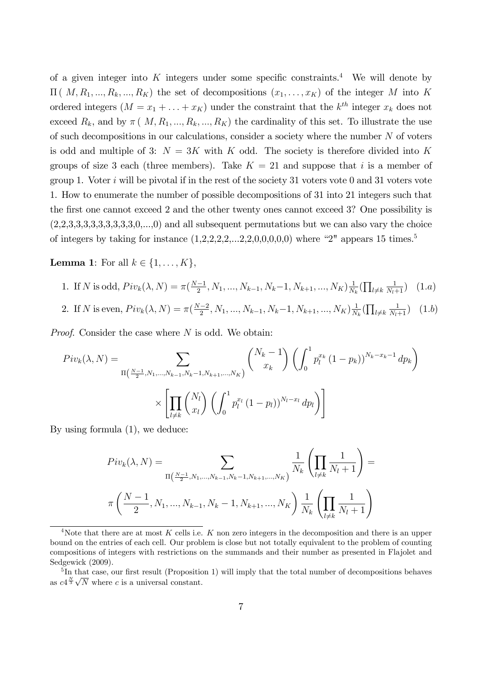of a given integer into K integers under some specific constraints.<sup>4</sup> We will denote by  $\Pi(M, R_1, ..., R_k, ..., R_K)$  the set of decompositions  $(x_1, ..., x_K)$  of the integer M into K ordered integers  $(M = x_1 + ... + x_K)$  under the constraint that the  $k^{th}$  integer  $x_k$  does not exceed  $R_k$ , and by  $\pi (M, R_1, ..., R_k, ..., R_K)$  the cardinality of this set. To illustrate the use of such decompositions in our calculations, consider a society where the number  $N$  of voters is odd and multiple of 3:  $N = 3K$  with K odd. The society is therefore divided into K groups of size 3 each (three members). Take  $K = 21$  and suppose that i is a member of group 1. Voter i will be pivotal if in the rest of the society 31 voters vote 0 and 31 voters vote 1. How to enumerate the number of possible decompositions of 31 into 21 integers such that the first one cannot exceed 2 and the other twenty ones cannot exceed 3? One possibility is  $(2,2,3,3,3,3,3,3,3,3,3,0,...,0)$  and all subsequent permutations but we can also vary the choice of integers by taking for instance  $(1,2,2,2,2,...2,2,0,0,0,0,0)$  where "2" appears 15 times.<sup>5</sup>

#### **Lemma 1:** For all  $k \in \{1, \ldots, K\}$ ,

1. If N is odd, 
$$
Piv_k(\lambda, N) = \pi(\frac{N-1}{2}, N_1, ..., N_{k-1}, N_k-1, N_{k+1}, ..., N_K)\frac{1}{N_k}(\prod_{l \neq k} \frac{1}{N_l+1})
$$
 (1.a)

2. If N is even, 
$$
Piv_k(\lambda, N) = \pi(\frac{N-2}{2}, N_1, ..., N_{k-1}, N_k-1, N_{k+1}, ..., N_K)\frac{1}{N_k}(\prod_{l \neq k} \frac{1}{N_l+1})
$$
 (1.b)

*Proof.* Consider the case where  $N$  is odd. We obtain:

$$
Piv_{k}(\lambda, N) = \sum_{\Pi\left(\frac{N-1}{2}, N_1, \dots, N_{k-1}, N_{k-1}, N_{k+1}, \dots, N_{K}\right)} \binom{N_{k} - 1}{x_{k}} \left( \int_{0}^{1} p_{l}^{x_{k}} \left(1 - p_{k}\right)^{N_{k} - x_{k} - 1} dp_{k} \right)
$$

$$
\times \left[ \prod_{l \neq k} \binom{N_{l}}{x_{l}} \left( \int_{0}^{1} p_{l}^{x_{l}} \left(1 - p_{l}\right)^{N_{l} - x_{l}} dp_{l} \right) \right]
$$

By using formula (1), we deduce:

$$
Piv_{k}(\lambda, N) = \sum_{\Pi\left(\frac{N-1}{2}, N_1, \dots, N_{k-1}, N_k - 1, N_{k+1}, \dots, N_K\right)} \frac{1}{N_k} \left(\prod_{l \neq k} \frac{1}{N_l + 1}\right) = \pi \left(\frac{N-1}{2}, N_1, \dots, N_{k-1}, N_k - 1, N_{k+1}, \dots, N_K\right) \frac{1}{N_k} \left(\prod_{l \neq k} \frac{1}{N_l + 1}\right)
$$

<sup>&</sup>lt;sup>4</sup>Note that there are at most K cells i.e. K non zero integers in the decomposition and there is an upper bound on the entries of each cell. Our problem is close but not totally equivalent to the problem of counting compositions of integers with restrictions on the summands and their number as presented in Flajolet and Sedgewick (2009).

 ${}^{5}$ In that case, our first result (Proposition 1) will imply that the total number of decompositions behaves as  $c4^{\frac{N}{3}}\sqrt{N}$  where c is a universal constant.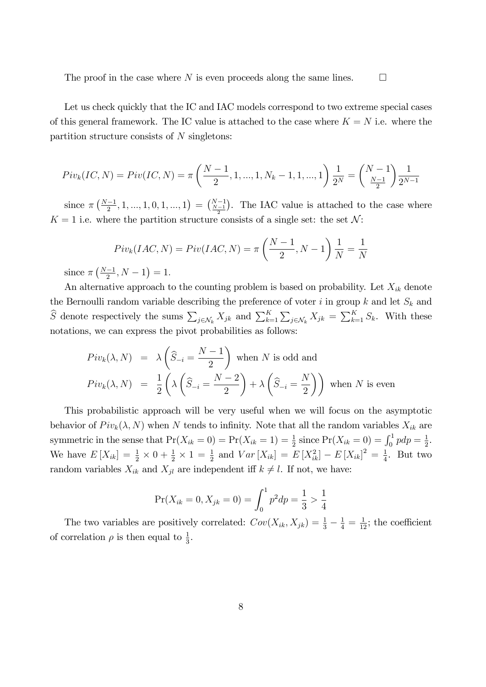The proof in the case where N is even proceeds along the same lines.  $\Box$ 

Let us check quickly that the IC and IAC models correspond to two extreme special cases of this general framework. The IC value is attached to the case where  $K = N$  i.e. where the partition structure consists of  $N$  singletons:

$$
Piv_k(IC, N) = Piv(IC, N) = \pi\left(\frac{N-1}{2}, 1, ..., 1, N_k - 1, 1, ..., 1\right) \frac{1}{2^N} = \left(\frac{N-1}{\frac{N-1}{2}}\right) \frac{1}{2^{N-1}}
$$

since  $\pi\left(\frac{N-1}{2}, 1, ..., 1, 0, 1, ..., 1\right) = \binom{N-1}{\frac{N-1}{2}}$  . The IAC value is attached to the case where  $K = 1$  i.e. where the partition structure consists of a single set: the set  $\mathcal{N}$ :

$$
Piv_k(IAC, N) = Piv(IAC, N) = \pi\left(\frac{N-1}{2}, N-1\right)\frac{1}{N} = \frac{1}{N}
$$

since  $\pi\left(\frac{N-1}{2}, N-1\right) = 1.$ 

An alternative approach to the counting problem is based on probability. Let  $X_{ik}$  denote the Bernoulli random variable describing the preference of voter i in group k and let  $S_k$  and  $\widehat{S}$  denote respectively the sums  $\sum_{j \in \mathcal{N}_k} X_{jk}$  and  $\sum_{k=1}^K \sum_{j \in \mathcal{N}_k} X_{jk} = \sum_{k=1}^K S_k$ . With these notations, we can express the pivot probabilities as follows:

$$
Piv_k(\lambda, N) = \lambda \left(\widehat{S}_{-i} = \frac{N-1}{2}\right) \text{ when } N \text{ is odd and}
$$
  

$$
Piv_k(\lambda, N) = \frac{1}{2} \left(\lambda \left(\widehat{S}_{-i} = \frac{N-2}{2}\right) + \lambda \left(\widehat{S}_{-i} = \frac{N}{2}\right)\right) \text{ when } N \text{ is even}
$$

This probabilistic approach will be very useful when we will focus on the asymptotic behavior of  $Piv_k(\lambda, N)$  when N tends to infinity. Note that all the random variables  $X_{ik}$  are symmetric in the sense that  $Pr(X_{ik} = 0) = Pr(X_{ik} = 1) = \frac{1}{2}$  since  $Pr(X_{ik} = 0) = \int_0^1 pdp = \frac{1}{2}$  $rac{1}{2}$ . We have  $E[X_{ik}] = \frac{1}{2} \times 0 + \frac{1}{2} \times 1 = \frac{1}{2}$  and  $Var[X_{ik}] = E[X_{ik}^2] - E[X_{ik}]^2 = \frac{1}{4}$  $\frac{1}{4}$ . But two random variables  $X_{ik}$  and  $X_{jl}$  are independent iff  $k \neq l$ . If not, we have:

$$
Pr(X_{ik} = 0, X_{jk} = 0) = \int_0^1 p^2 dp = \frac{1}{3} > \frac{1}{4}
$$

The two variables are positively correlated:  $Cov(X_{ik}, X_{jk}) = \frac{1}{3} - \frac{1}{4} = \frac{1}{12}$ ; the coefficient of correlation  $\rho$  is then equal to  $\frac{1}{3}$ .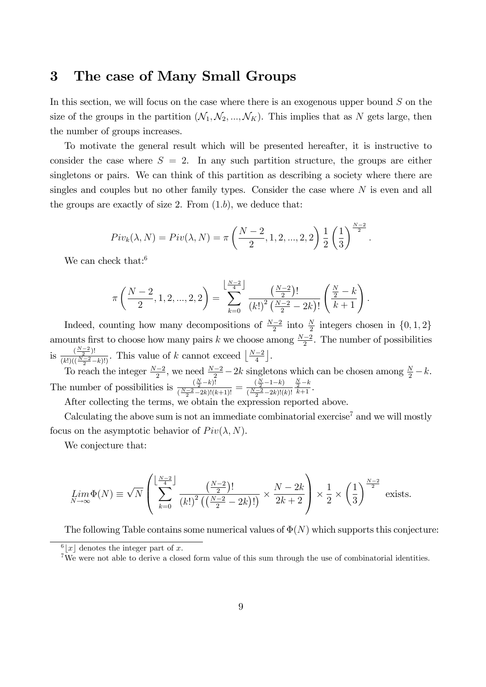## 3 The case of Many Small Groups

In this section, we will focus on the case where there is an exogenous upper bound  $S$  on the size of the groups in the partition  $(\mathcal{N}_1, \mathcal{N}_2, ..., \mathcal{N}_K)$ . This implies that as N gets large, then the number of groups increases.

To motivate the general result which will be presented hereafter, it is instructive to consider the case where  $S = 2$ . In any such partition structure, the groups are either singletons or pairs. We can think of this partition as describing a society where there are singles and couples but no other family types. Consider the case where  $N$  is even and all the groups are exactly of size 2. From  $(1.b)$ , we deduce that:

$$
Piv_k(\lambda, N) = Piv(\lambda, N) = \pi \left(\frac{N-2}{2}, 1, 2, ..., 2, 2\right) \frac{1}{2} \left(\frac{1}{3}\right)^{\frac{N-2}{2}}.
$$

We can check that: $6$ 

$$
\pi\left(\frac{N-2}{2}, 1, 2, ..., 2, 2\right) = \sum_{k=0}^{\left\lfloor\frac{N-2}{4}\right\rfloor} \frac{\left(\frac{N-2}{2}\right)!}{\left(k!\right)^2 \left(\frac{N-2}{2}-2k\right)!} \left(\frac{\frac{N}{2}-k}{k+1}\right).
$$

Indeed, counting how many decompositions of  $\frac{N-2}{2}$  into  $\frac{N}{2}$  integers chosen in  $\{0, 1, 2\}$ amounts first to choose how many pairs k we choose among  $\frac{N-2}{2}$ . The number of possibilities is  $\frac{\left(\frac{N-2}{2}\right)!}{(k!)((\frac{N-2}{N-2})!}$  $\frac{\left(\frac{N-2}{2}\right)!}{(k!)((\frac{N-2}{2}-k)!)}$ . This value of k cannot exceed  $\left\lfloor \frac{N-2}{4} \right\rfloor$ .

To reach the integer  $\frac{N-2}{2}$ , we need  $\frac{N-2}{2} - 2k$  singletons which can be chosen among  $\frac{N}{2} - k$ . The number of possibilities is  $\frac{\left(\frac{N}{2} - k\right)!}{\left(N - 2\right)!}$  $\frac{(\frac{N}{2}-k)!}{(\frac{N-2}{2}-2k)!(k+1)!} = \frac{(\frac{N}{2}-1-k)}{(\frac{N-2}{2}-2k)!(k+1)!}$  $\frac{\frac{N-2}{2}-2k}{k}$  $\frac{\frac{N}{2} - k}{k+1}$ .

After collecting the terms, we obtain the expression reported above.

Calculating the above sum is not an immediate combinatorial exercise<sup>7</sup> and we will mostly focus on the asymptotic behavior of  $Piv(\lambda, N)$ .

We conjecture that:

$$
\lim_{N \to \infty} \Phi(N) \equiv \sqrt{N} \left( \sum_{k=0}^{\left[\frac{N-2}{4}\right]} \frac{\left(\frac{N-2}{2}\right)!}{(k!)^2 \left(\left(\frac{N-2}{2} - 2k\right)!\right)} \times \frac{N-2k}{2k+2} \right) \times \frac{1}{2} \times \left(\frac{1}{3}\right)^{\frac{N-2}{2}} \text{ exists.}
$$

The following Table contains some numerical values of  $\Phi(N)$  which supports this conjecture:

 $\frac{6}{x}$  denotes the integer part of x.

<sup>7</sup>We were not able to derive a closed form value of this sum through the use of combinatorial identities.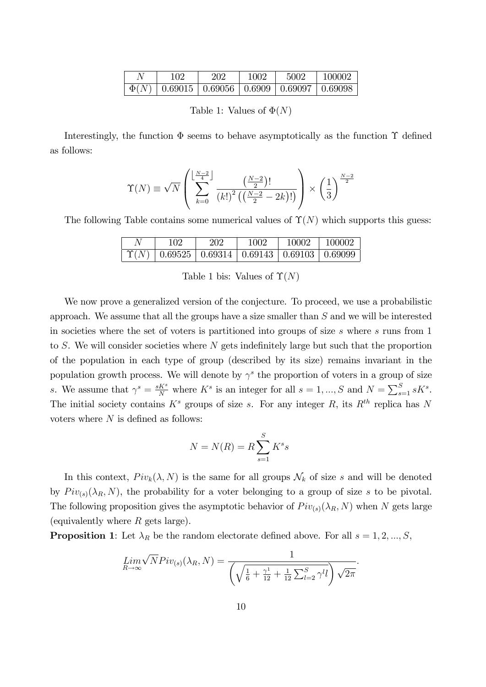| 102                                                        | 202 | 1002 | 5002 | 100002 |
|------------------------------------------------------------|-----|------|------|--------|
| $\Phi(N)$   0.69015   0.69056   0.6909   0.69097   0.69098 |     |      |      |        |

Table 1: Values of  $\Phi(N)$ 

Interestingly, the function  $\Phi$  seems to behave asymptotically as the function  $\Upsilon$  defined as follows:

$$
\Upsilon(N) \equiv \sqrt{N} \left( \sum_{k=0}^{\left\lfloor \frac{N-2}{4} \right\rfloor} \frac{\left(\frac{N-2}{2}\right)!}{\left(k!\right)^2 \left(\left(\frac{N-2}{2} - 2k\right)!\right)} \right) \times \left(\frac{1}{3}\right)^{\frac{N-2}{2}}
$$

The following Table contains some numerical values of  $\Upsilon(N)$  which supports this guess:

|                                                                 | 202 | 1002 | 10002 | 100002 |
|-----------------------------------------------------------------|-----|------|-------|--------|
| $\Upsilon(N)$   0.69525   0.69314   0.69143   0.69103   0.69099 |     |      |       |        |

Table 1 bis: Values of  $\Upsilon(N)$ 

We now prove a generalized version of the conjecture. To proceed, we use a probabilistic approach. We assume that all the groups have a size smaller than  $S$  and we will be interested in societies where the set of voters is partitioned into groups of size s where s runs from 1 to S. We will consider societies where  $N$  gets indefinitely large but such that the proportion of the population in each type of group (described by its size) remains invariant in the population growth process. We will denote by  $\gamma^s$  the proportion of voters in a group of size s. We assume that  $\gamma^s = \frac{sK^s}{N}$  where  $K^s$  is an integer for all  $s = 1, ..., S$  and  $N = \sum_{s=1}^S sK^s$ . The initial society contains  $K^s$  groups of size s. For any integer R, its  $R^{th}$  replica has N voters where  $N$  is defined as follows:

$$
N = N(R) = R \sum_{s=1}^{S} K^s s
$$

In this context,  $Piv_k(\lambda, N)$  is the same for all groups  $\mathcal{N}_k$  of size s and will be denoted by  $Piv_{(s)}(\lambda_R, N)$ , the probability for a voter belonging to a group of size s to be pivotal. The following proposition gives the asymptotic behavior of  $Piv_{(s)}(\lambda_R, N)$  when N gets large (equivalently where  $R$  gets large).

**Proposition 1**: Let  $\lambda_R$  be the random electorate defined above. For all  $s = 1, 2, ..., S$ ,

$$
\lim_{R \to \infty} \sqrt{N} Piv_{(s)}(\lambda_R, N) = \frac{1}{\left(\sqrt{\frac{1}{6} + \frac{\gamma^1}{12} + \frac{1}{12} \sum_{l=2}^S \gamma^l l}\right) \sqrt{2\pi}}.
$$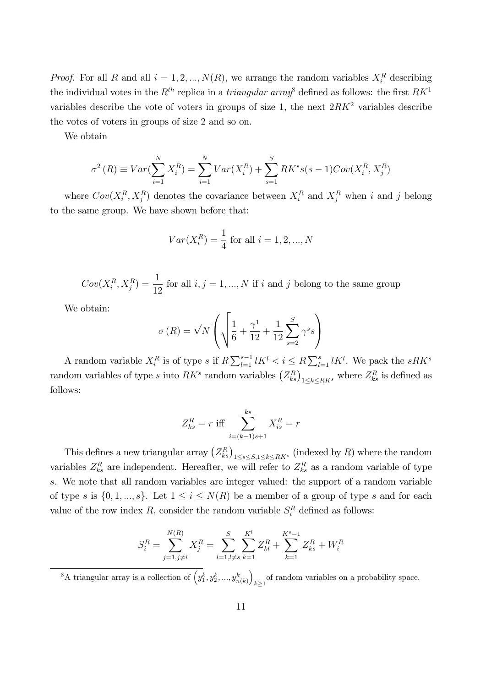*Proof.* For all R and all  $i = 1, 2, ..., N(R)$ , we arrange the random variables  $X_i^R$  describing the individual votes in the  $R^{th}$  replica in a *triangular array*<sup>8</sup> defined as follows: the first  $RK^1$ variables describe the vote of voters in groups of size 1, the next  $2RK^2$  variables describe the votes of voters in groups of size 2 and so on.

We obtain

$$
\sigma^{2}(R) \equiv Var(\sum_{i=1}^{N} X_{i}^{R}) = \sum_{i=1}^{N} Var(X_{i}^{R}) + \sum_{s=1}^{S} RK^{s}s(s-1)Cov(X_{i}^{R}, X_{j}^{R})
$$

where  $Cov(X_i^R, X_j^R)$  denotes the covariance between  $X_i^R$  and  $X_j^R$  when i and j belong to the same group. We have shown before that:

$$
Var(X_i^R) = \frac{1}{4}
$$
 for all  $i = 1, 2, ..., N$ 

$$
Cov(X_i^R, X_j^R) = \frac{1}{12}
$$
 for all  $i, j = 1, ..., N$  if  $i$  and  $j$  belong to the same group

We obtain:

$$
\sigma(R) = \sqrt{N} \left( \sqrt{\frac{1}{6} + \frac{\gamma^1}{12} + \frac{1}{12} \sum_{s=2}^{S} \gamma^s s} \right)
$$

A random variable  $X_i^R$  is of type s if  $R\sum_{l=1}^{s-1} lK^l < i \leq R\sum_{l=1}^{s} lK^l$ . We pack the s $RK^s$ random variables of type s into  $RK^s$  random variables  $(Z_{ks}^R)_{1 \leq k \leq RK^s}$  where  $Z_{ks}^R$  is defined as follows:

$$
Z_{ks}^R = r \text{ iff } \sum_{i=(k-1)s+1}^{ks} X_{is}^R = r
$$

This defines a new triangular array  $(Z_{ks}^R)_{1 \leq s \leq S, 1 \leq k \leq RK^s}$  (indexed by R) where the random variables  $Z_{ks}^R$  are independent. Hereafter, we will refer to  $Z_{ks}^R$  as a random variable of type s. We note that all random variables are integer valued: the support of a random variable of type s is  $\{0, 1, ..., s\}$ . Let  $1 \leq i \leq N(R)$  be a member of a group of type s and for each value of the row index R, consider the random variable  $S_i^R$  defined as follows:

$$
S_i^R = \sum_{j=1, j\neq i}^{N(R)} X_j^R = \sum_{l=1, l\neq s}^{S} \sum_{k=1}^{K^l} Z_{kl}^R + \sum_{k=1}^{K^s-1} Z_{ks}^R + W_i^R
$$

<sup>8</sup>A triangular array is a collection of  $(y_1^k, y_2^k, ..., y_{n(k)}^k)$  $k\geq1$ of random variables on a probability space.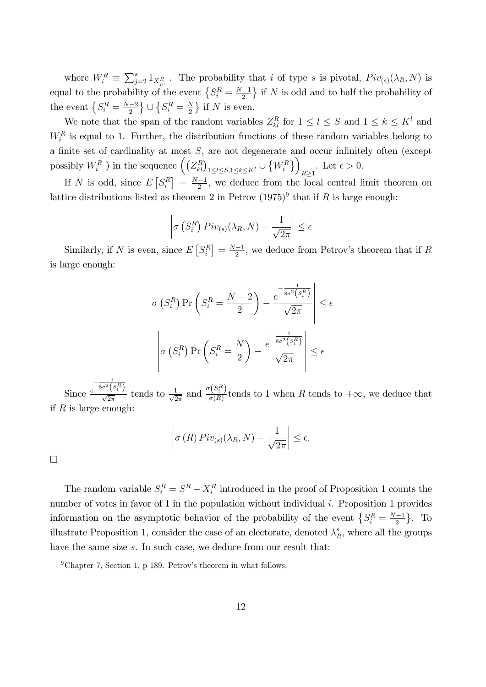where  $W_i^R \equiv \sum_{j=2}^s 1_{X_{js}^R}$ . The probability that i of type s is pivotal,  $Piv_{(s)}(\lambda_R, N)$  is equal to the probability of the event  $\left\{S_i^R = \frac{N-1}{2}\right\}$  if N is odd and to half the probability of the event  $\left\{S_i^R = \frac{N-2}{2}\right\} \cup \left\{S_i^R = \frac{N}{2}\right\}$  $\frac{N}{2}$  if N is even.

We note that the span of the random variables  $Z_{kl}^R$  for  $1 \leq l \leq S$  and  $1 \leq k \leq K^l$  and  $W_i^R$  is equal to 1. Further, the distribution functions of these random variables belong to a finite set of cardinality at most  $S$ , are not degenerate and occur infinitely often (except possibly  $W^R_i$  ) in the sequence  $\Bigl(\bigl(Z^R_{kl}\bigr)_{1\leq l\leq S, 1\leq k\leq K^l}\cup\bigl\{W^R_i\bigr\}\Bigr)$  $R\geq 1$ . Let  $\epsilon > 0$ .

If N is odd, since  $E[S_i^R] = \frac{N-1}{2}$ , we deduce from the local central limit theorem on lattice distributions listed as theorem 2 in Petrov  $(1975)^9$  that if R is large enough:

$$
\left| \sigma \left( S_i^R \right) Piv_{(s)}(\lambda_R, N) - \frac{1}{\sqrt{2\pi}} \right| \le \epsilon
$$

Similarly, if N is even, since  $E[S_i^R] = \frac{N-1}{2}$ , we deduce from Petrov's theorem that if R is large enough:

$$
\left| \sigma \left( S_i^R \right) \Pr \left( S_i^R = \frac{N-2}{2} \right) - \frac{e^{-\frac{1}{8\sigma^2 \left( S_i^R \right)}}}{\sqrt{2\pi}} \right| \le \epsilon
$$

$$
\left| \sigma \left( S_i^R \right) \Pr \left( S_i^R = \frac{N}{2} \right) - \frac{e^{-\frac{1}{8\sigma^2 \left( S_i^R \right)}}}{\sqrt{2\pi}} \right| \le \epsilon
$$

Since  $\frac{e}{ }$  $-\frac{1}{8\sigma^2\left(S_i^R\right)}$  $rac{\binom{8}{i}}{\sqrt{2\pi}}$  tends to  $rac{1}{\sqrt{2}}$  $\frac{1}{2\pi}$  and  $\frac{\sigma(S_i^R)}{\sigma(R)}$  $\frac{N^{(2)}(R)}{\sigma(R)}$  tends to 1 when R tends to  $+\infty$ , we deduce that if  $R$  is large enough:

$$
\left|\sigma(R)\,Piv_{(s)}(\lambda_R,N)-\frac{1}{\sqrt{2\pi}}\right|\leq\epsilon.
$$

 $\Box$ 

The random variable  $S_i^R = S^R - X_i^R$  introduced in the proof of Proposition 1 counts the number of votes in favor of 1 in the population without individual *i*. Proposition 1 provides information on the asymptotic behavior of the probability of the event  $\{S_i^R = \frac{N-1}{2}\}\$ . To illustrate Proposition 1, consider the case of an electorate, denoted  $\lambda_R^s$ , where all the groups have the same size s. In such case, we deduce from our result that:

 $^{9}$ Chapter 7, Section 1, p 189. Petrov's theorem in what follows.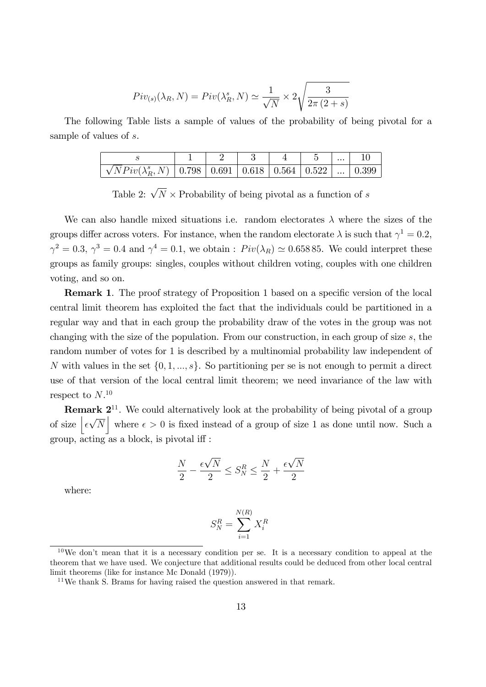$$
Piv_{(s)}(\lambda_R, N) = Piv(\lambda_R^s, N) \simeq \frac{1}{\sqrt{N}} \times 2\sqrt{\frac{3}{2\pi (2+s)}}
$$

The following Table lists a sample of values of the probability of being pivotal for a sample of values of s.

|                                                                                  |  |  | $\cdots$ |  |
|----------------------------------------------------------------------------------|--|--|----------|--|
| $\sqrt{NPiv}(\lambda_R^s, N)$   0.798   0.691   0.618   0.564   0.522      0.399 |  |  |          |  |

Table 2:  $\sqrt{N} \times$  Probability of being pivotal as a function of s

We can also handle mixed situations i.e. random electorates  $\lambda$  where the sizes of the groups differ across voters. For instance, when the random electorate  $\lambda$  is such that  $\gamma^1 = 0.2$ ,  $\gamma^2 = 0.3, \, \gamma^3 = 0.4$  and  $\gamma^4 = 0.1$ , we obtain :  $Piv(\lambda_R) \simeq 0.65885$ . We could interpret these groups as family groups: singles, couples without children voting, couples with one children voting, and so on.

**Remark 1.** The proof strategy of Proposition 1 based on a specific version of the local central limit theorem has exploited the fact that the individuals could be partitioned in a regular way and that in each group the probability draw of the votes in the group was not changing with the size of the population. From our construction, in each group of size s, the random number of votes for 1 is described by a multinomial probability law independent of N with values in the set  $\{0, 1, ..., s\}$ . So partitioning per se is not enough to permit a direct use of that version of the local central limit theorem; we need invariance of the law with respect to  $N$ <sup>10</sup>

**Remark**  $2^{11}$ . We could alternatively look at the probability of being pivotal of a group of size  $|\epsilon\sqrt{N}|$  where  $\epsilon > 0$  is fixed instead of a group of size 1 as done until now. Such a group, acting as a block, is pivotal iff :

$$
\frac{N}{2} - \frac{\epsilon \sqrt{N}}{2} \le S_N^R \le \frac{N}{2} + \frac{\epsilon \sqrt{N}}{2}
$$

where:

$$
S_N^R = \sum_{i=1}^{N(R)} X_i^R
$$

 $10$ We don't mean that it is a necessary condition per se. It is a necessary condition to appeal at the theorem that we have used. We conjecture that additional results could be deduced from other local central limit theorems (like for instance Mc Donald (1979)).

<sup>&</sup>lt;sup>11</sup>We thank S. Brams for having raised the question answered in that remark.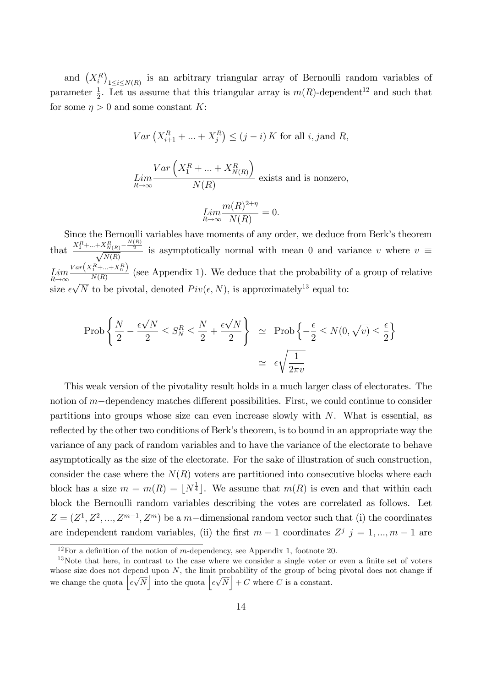and  $(X_i^R)$  $i \leq i \leq N(R)$  is an arbitrary triangular array of Bernoulli random variables of parameter  $\frac{1}{2}$ . Let us assume that this triangular array is  $m(R)$ -dependent<sup>12</sup> and such that for some  $\eta > 0$  and some constant K:

$$
Var\left(X_{i+1}^R + \dots + X_j^R\right) \le (j - i) K \text{ for all } i, j \text{ and } R,
$$
  

$$
Var\left(X_1^R + \dots + X_{N(R)}^R\right)
$$
  

$$
Lim\frac{Var\left(X_1^R + \dots + X_{N(R)}^R\right)}{N(R)} = 0.
$$
  

$$
Lim\frac{m(R)^{2+\eta}}{N(R)} = 0.
$$

Since the Bernoulli variables have moments of any order, we deduce from Berk's theorem that  $\frac{X_1^R + ... + X_{N(R)}^R - \frac{N(R)}{2}}{\sqrt{N(R)}}$  is asymptotically normal with mean 0 and variance v where  $v \equiv$ Lim  $R\rightarrow\infty$  $Var(X_1^R + ... + X_n^R)$  $\frac{N(R)}{N(R)}$  (see Appendix 1). We deduce that the probability of a group of relative size  $\epsilon \sqrt{N}$  to be pivotal, denoted  $Piv(\epsilon, N)$ , is approximately<sup>13</sup> equal to:

$$
\text{Prob}\left\{\frac{N}{2} - \frac{\epsilon\sqrt{N}}{2} \le S_N^R \le \frac{N}{2} + \frac{\epsilon\sqrt{N}}{2}\right\} \approx \text{Prob}\left\{-\frac{\epsilon}{2} \le N(0, \sqrt{v}) \le \frac{\epsilon}{2}\right\}
$$

$$
\approx \epsilon\sqrt{\frac{1}{2\pi v}}
$$

This weak version of the pivotality result holds in a much larger class of electorates. The notion of  $m$ -dependency matches different possibilities. First, we could continue to consider partitions into groups whose size can even increase slowly with  $N$ . What is essential, as reflected by the other two conditions of Berk's theorem, is to bound in an appropriate way the variance of any pack of random variables and to have the variance of the electorate to behave asymptotically as the size of the electorate. For the sake of illustration of such construction, consider the case where the  $N(R)$  voters are partitioned into consecutive blocks where each block has a size  $m = m(R) = \lfloor N^{\frac{1}{4}} \rfloor$ . We assume that  $m(R)$  is even and that within each block the Bernoulli random variables describing the votes are correlated as follows. Let  $Z = (Z^1, Z^2, ..., Z^{m-1}, Z^m)$  be a m-dimensional random vector such that (i) the coordinates are independent random variables, (ii) the first  $m-1$  coordinates  $Z^j$   $j=1,...,m-1$  are

 $12$ For a definition of the notion of m-dependency, see Appendix 1, footnote 20.

 $13$ Note that here, in contrast to the case where we consider a single voter or even a finite set of voters whose size does not depend upon  $N$ , the limit probability of the group of being pivotal does not change if we change the quota  $\left| \epsilon \sqrt{\overline{N}} \right|$  into the quota  $\left| \epsilon \sqrt{\overline{N}} \right| + C$  where C is a constant.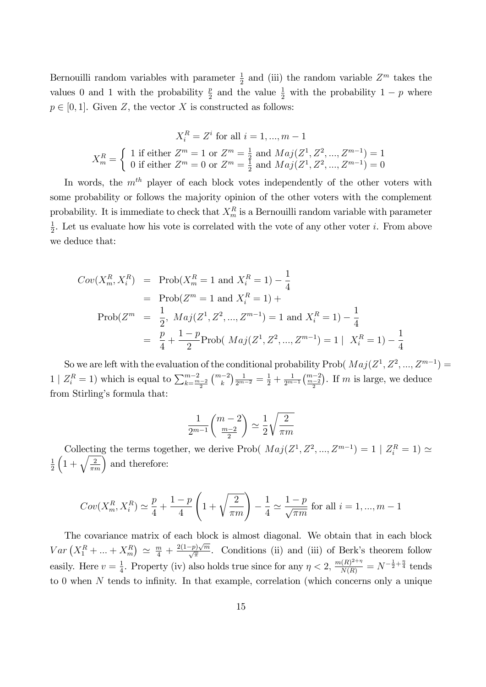Bernouilli random variables with parameter  $\frac{1}{2}$  and (iii) the random variable  $Z^m$  takes the values 0 and 1 with the probability  $\frac{p}{2}$  and the value  $\frac{1}{2}$  with the probability  $1-p$  where  $p \in [0, 1]$ . Given Z, the vector X is constructed as follows:

$$
X_i^R = Z^i \text{ for all } i = 1, ..., m-1
$$
  

$$
X_m^R = \begin{cases} 1 \text{ if either } Z^m = 1 \text{ or } Z^m = \frac{1}{2} \text{ and } Maj(Z^1, Z^2, ..., Z^{m-1}) = 1\\ 0 \text{ if either } Z^m = 0 \text{ or } Z^m = \frac{1}{2} \text{ and } Maj(Z^1, Z^2, ..., Z^{m-1}) = 0 \end{cases}
$$

In words, the  $m<sup>th</sup>$  player of each block votes independently of the other voters with some probability or follows the majority opinion of the other voters with the complement probability. It is immediate to check that  $X_m^R$  is a Bernouilli random variable with parameter 1  $\frac{1}{2}$ . Let us evaluate how his vote is correlated with the vote of any other voter *i*. From above we deduce that:

$$
Cov(X_m^R, X_i^R) = \text{Prob}(X_m^R = 1 \text{ and } X_i^R = 1) - \frac{1}{4}
$$
  
= \text{Prob}(Z^m = 1 \text{ and } X\_i^R = 1) +  
\n
$$
\text{Prob}(Z^m = \frac{1}{2}, \text{ Maj}(Z^1, Z^2, ..., Z^{m-1}) = 1 \text{ and } X_i^R = 1) - \frac{1}{4}
$$
  
= \frac{p}{4} + \frac{1 - p}{2} \text{Prob}(\text{ Maj}(Z^1, Z^2, ..., Z^{m-1}) = 1 | X\_i^R = 1) - \frac{1}{4}

So we are left with the evaluation of the conditional probability Prob( $\text{Maj}(Z^1, Z^2, ..., Z^{m-1}) =$  $1 | Z_i^R = 1$ ) which is equal to  $\sum_{k=\frac{m-2}{2}}^{m-2}$  $\binom{m-2}{k}\frac{1}{2^{m-2}} = \frac{1}{2} + \frac{1}{2^m}$  $\frac{1}{2^{m-1}}\left(\frac{m-2}{\frac{m-2}{2}}\right)$ ). If  $m$  is large, we deduce from Stirling's formula that:

$$
\frac{1}{2^{m-1}} \binom{m-2}{\frac{m-2}{2}} \simeq \frac{1}{2} \sqrt{\frac{2}{\pi m}}
$$

Collecting the terms together, we derive Prob(  $Maj(Z^1, Z^2, ..., Z^{m-1}) = 1 | Z_i^R = 1) \simeq$ 1 2  $\left(1+\sqrt{\frac{2}{\pi m}}\right)$  and therefore:

$$
Cov(X_m^R, X_i^R) \simeq \frac{p}{4} + \frac{1-p}{4} \left( 1 + \sqrt{\frac{2}{\pi m}} \right) - \frac{1}{4} \simeq \frac{1-p}{\sqrt{\pi m}} \text{ for all } i = 1, ..., m - 1
$$

The covariance matrix of each block is almost diagonal. We obtain that in each block  $Var(X_1^R + ... + X_m^R) \simeq \frac{m}{4} + \frac{2(1-p)\sqrt{m}}{\sqrt{\pi}}$ . Conditions (ii) and (iii) of Berk's theorem follow easily. Here  $v=\frac{1}{4}$  $\frac{1}{4}$ . Property (iv) also holds true since for any  $\eta < 2$ ,  $\frac{m(R)^{2+\eta}}{N(R)} = N^{-\frac{1}{2} + \frac{\eta}{4}}$  tends to 0 when  $N$  tends to infinity. In that example, correlation (which concerns only a unique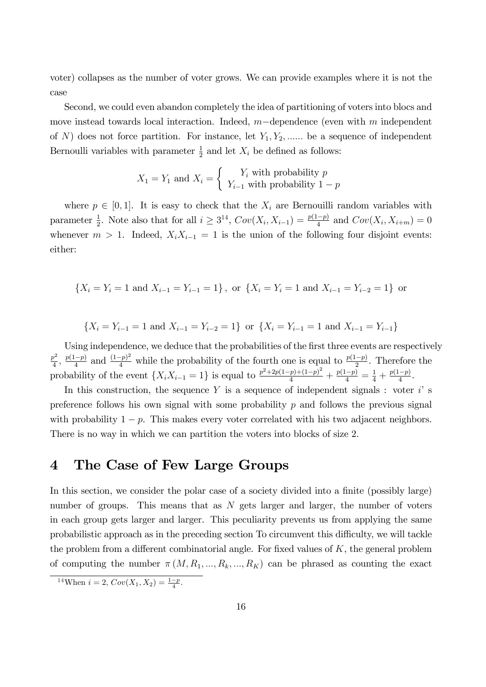voter) collapses as the number of voter grows. We can provide examples where it is not the case

Second, we could even abandon completely the idea of partitioning of voters into blocs and move instead towards local interaction. Indeed,  $m$ -dependence (even with m independent of N) does not force partition. For instance, let  $Y_1, Y_2, \ldots$  be a sequence of independent Bernoulli variables with parameter  $\frac{1}{2}$  and let  $X_i$  be defined as follows:

$$
X_1 = Y_1 \text{ and } X_i = \left\{ \begin{array}{c} Y_i \text{ with probability } p \\ Y_{i-1} \text{ with probability } 1-p \end{array} \right.
$$

where  $p \in [0, 1]$ . It is easy to check that the  $X_i$  are Bernouilli random variables with parameter  $\frac{1}{2}$ . Note also that for all  $i \geq 3^{14}$ ,  $Cov(X_i, X_{i-1}) = \frac{p(1-p)}{4}$  and  $Cov(X_i, X_{i+m}) = 0$ whenever  $m > 1$ . Indeed,  $X_i X_{i-1} = 1$  is the union of the following four disjoint events: either:

$$
\{X_i = Y_i = 1 \text{ and } X_{i-1} = Y_{i-1} = 1\}, \text{ or } \{X_i = Y_i = 1 \text{ and } X_{i-1} = Y_{i-2} = 1\} \text{ or }
$$

$$
\{X_i = Y_{i-1} = 1 \text{ and } X_{i-1} = Y_{i-2} = 1\} \text{ or } \{X_i = Y_{i-1} = 1 \text{ and } X_{i-1} = Y_{i-1}\}
$$

Using independence, we deduce that the probabilities of the first three events are respectively  $p^2$  $\frac{p(1-p)}{4}$  and  $\frac{(1-p)^2}{4}$  while the probability of the fourth one is equal to  $\frac{p(1-p)}{2}$ . Therefore the probability of the event  $\{X_iX_{i-1} = 1\}$  is equal to  $\frac{p^2 + 2p(1-p)+(1-p)^2}{4} + \frac{p(1-p)}{4} = \frac{1}{4} + \frac{p(1-p)}{4}$ .

In this construction, the sequence Y is a sequence of independent signals : voter  $i'$  s preference follows his own signal with some probability  $p$  and follows the previous signal with probability  $1 - p$ . This makes every voter correlated with his two adjacent neighbors. There is no way in which we can partition the voters into blocks of size 2.

## 4 The Case of Few Large Groups

In this section, we consider the polar case of a society divided into a finite (possibly large) number of groups. This means that as  $N$  gets larger and larger, the number of voters in each group gets larger and larger. This peculiarity prevents us from applying the same probabilistic approach as in the preceding section To circumvent this difficulty, we will tackle the problem from a different combinatorial angle. For fixed values of  $K$ , the general problem of computing the number  $\pi(M, R_1, ..., R_k, ..., R_K)$  can be phrased as counting the exact

<sup>&</sup>lt;sup>14</sup>When  $i = 2$ ,  $Cov(X_1, X_2) = \frac{1-p}{4}$ .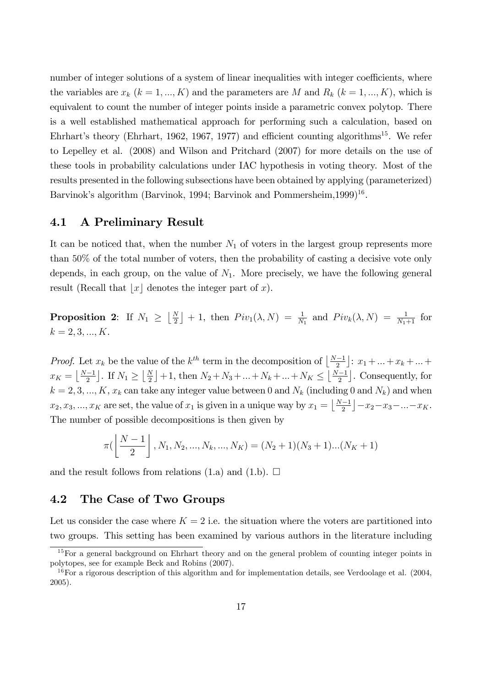number of integer solutions of a system of linear inequalities with integer coefficients, where the variables are  $x_k$   $(k = 1, ..., K)$  and the parameters are M and  $R_k$   $(k = 1, ..., K)$ , which is equivalent to count the number of integer points inside a parametric convex polytop. There is a well established mathematical approach for performing such a calculation, based on Ehrhart's theory (Ehrhart, 1962, 1967, 1977) and efficient counting algorithms<sup>15</sup>. We refer to Lepelley et al. (2008) and Wilson and Pritchard (2007) for more details on the use of these tools in probability calculations under IAC hypothesis in voting theory. Most of the results presented in the following subsections have been obtained by applying (parameterized) Barvinok's algorithm (Barvinok, 1994; Barvinok and Pommersheim, 1999)<sup>16</sup>.

#### 4.1 A Preliminary Result

It can be noticed that, when the number  $N_1$  of voters in the largest group represents more than 50% of the total number of voters, then the probability of casting a decisive vote only depends, in each group, on the value of  $N_1$ . More precisely, we have the following general result (Recall that  $|x|$  denotes the integer part of x).

**Proposition 2:** If  $N_1 \geq \lfloor \frac{N}{2} \rfloor + 1$ , then  $Piv_1(\lambda, N) = \frac{1}{N_1}$  and  $Piv_k(\lambda, N) = \frac{1}{N_1+1}$  for  $k = 2, 3, ..., K.$ 

*Proof.* Let  $x_k$  be the value of the  $k^{th}$  term in the decomposition of  $\left\lfloor \frac{N-1}{2} \right\rfloor$ :  $x_1 + ... + x_k + ... +$  $x_K = \lfloor \frac{N-1}{2} \rfloor$ . If  $N_1 \geq \lfloor \frac{N}{2} \rfloor + 1$ , then  $N_2 + N_3 + \ldots + N_k + \ldots + N_K \leq \lfloor \frac{N-1}{2} \rfloor$ . Consequently, for  $k = 2, 3, ..., K$ ,  $x_k$  can take any integer value between 0 and  $N_k$  (including 0 and  $N_k$ ) and when  $x_2, x_3, ..., x_K$  are set, the value of  $x_1$  is given in a unique way by  $x_1 = \lfloor \frac{N-1}{2} \rfloor - x_2 - x_3 - ... - x_K$ . The number of possible decompositions is then given by

$$
\pi\left(\left\lfloor \frac{N-1}{2}\right\rfloor, N_1, N_2, ..., N_k, ..., N_K\right) = (N_2+1)(N_3+1)...(N_K+1)
$$

and the result follows from relations (1.a) and (1.b).  $\Box$ 

### 4.2 The Case of Two Groups

Let us consider the case where  $K = 2$  i.e. the situation where the voters are partitioned into two groups. This setting has been examined by various authors in the literature including

<sup>&</sup>lt;sup>15</sup>For a general background on Ehrhart theory and on the general problem of counting integer points in polytopes, see for example Beck and Robins (2007).

 $16$ For a rigorous description of this algorithm and for implementation details, see Verdoolage et al. (2004, 2005).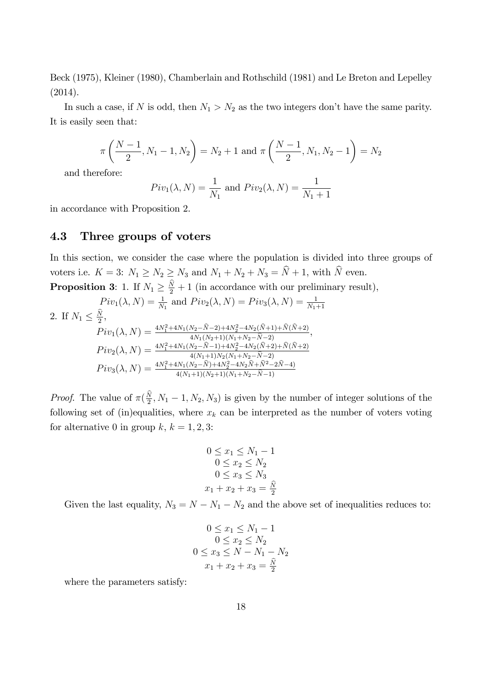Beck (1975), Kleiner (1980), Chamberlain and Rothschild (1981) and Le Breton and Lepelley (2014).

In such a case, if N is odd, then  $N_1 > N_2$  as the two integers don't have the same parity. It is easily seen that:

$$
\pi\left(\frac{N-1}{2}, N_1 - 1, N_2\right) = N_2 + 1 \text{ and } \pi\left(\frac{N-1}{2}, N_1, N_2 - 1\right) = N_2
$$

and therefore:

$$
Piv_1(\lambda, N) = \frac{1}{N_1}
$$
 and  $Piv_2(\lambda, N) = \frac{1}{N_1 + 1}$ 

in accordance with Proposition 2.

#### 4.3 Three groups of voters

In this section, we consider the case where the population is divided into three groups of voters i.e.  $K = 3$ :  $N_1 \ge N_2 \ge N_3$  and  $N_1 + N_2 + N_3 = \widehat{N} + 1$ , with  $\widehat{N}$  even.

**Proposition 3:** 1. If  $N_1 \geq \frac{N}{2} + 1$  (in accordance with our preliminary result),

$$
Piv_1(\lambda, N) = \frac{1}{N_1} \text{ and } Piv_2(\lambda, N) = Piv_3(\lambda, N) = \frac{1}{N_1 + 1}
$$
  
2. If  $N_1 \le \frac{\hat{N}}{2}$ ,  

$$
Piv_1(\lambda, N) = \frac{4N_1^2 + 4N_1(N_2 - \hat{N} - 2) + 4N_2^2 - 4N_2(\hat{N} + 1) + \hat{N}(\hat{N} + 2)}{4N_1(N_2 + 1)(N_1 + N_2 - \hat{N} - 2)},
$$
  

$$
Piv_2(\lambda, N) = \frac{4N_1^2 + 4N_1(N_2 - \hat{N} - 1) + 4N_2^2 - 4N_2(\hat{N} + 2) + \hat{N}(\hat{N} + 2)}{4(N_1 + 1)N_2(N_1 + N_2 - \hat{N} - 2)}
$$
  

$$
Piv_3(\lambda, N) = \frac{4N_1^2 + 4N_1(N_2 - \hat{N}) + 4N_2^2 - 4N_2\hat{N} + \hat{N}^2 - 2\hat{N} - 4}{4(N_1 + 1)(N_2 + 1)(N_1 + N_2 - \hat{N} - 1)}
$$

*Proof.* The value of  $\pi(\frac{N}{2}, N_1 - 1, N_2, N_3)$  is given by the number of integer solutions of the following set of (in)equalities, where  $x_k$  can be interpreted as the number of voters voting for alternative 0 in group k,  $k = 1, 2, 3$ :

$$
0 \le x_1 \le N_1 - 1 \n0 \le x_2 \le N_2 \n0 \le x_3 \le N_3 \nx_1 + x_2 + x_3 = \frac{\widehat{N}}{2}
$$

Given the last equality,  $N_3 = N - N_1 - N_2$  and the above set of inequalities reduces to:

$$
0 \le x_1 \le N_1 - 1
$$
  
\n
$$
0 \le x_2 \le N_2
$$
  
\n
$$
0 \le x_3 \le N - N_1 - N_2
$$
  
\n
$$
x_1 + x_2 + x_3 = \frac{\hat{N}}{2}
$$

where the parameters satisfy: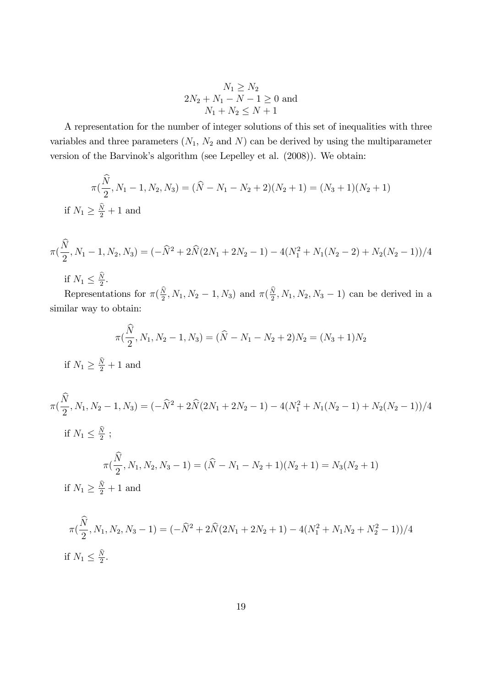$$
N_1 \ge N_2
$$
  
2N<sub>2</sub> + N<sub>1</sub> - N - 1  $\ge 0$  and  
N<sub>1</sub> + N<sub>2</sub>  $\le N + 1$ 

A representation for the number of integer solutions of this set of inequalities with three variables and three parameters  $(N_1, N_2 \text{ and } N)$  can be derived by using the multiparameter version of the Barvinok's algorithm (see Lepelley et al.  $(2008)$ ). We obtain:

$$
\pi(\frac{\widehat{N}}{2}, N_1 - 1, N_2, N_3) = (\widehat{N} - N_1 - N_2 + 2)(N_2 + 1) = (N_3 + 1)(N_2 + 1)
$$
  
if  $N_1 \ge \frac{\widehat{N}}{2} + 1$  and

$$
\pi(\frac{\widehat{N}}{2}, N_1 - 1, N_2, N_3) = (-\widehat{N}^2 + 2\widehat{N}(2N_1 + 2N_2 - 1) - 4(N_1^2 + N_1(N_2 - 2) + N_2(N_2 - 1))/4
$$

if  $N_1 \leq \frac{N}{2}$ .

if  $N_1 \leq \frac{N}{2}$ .

Representations for  $\pi(\frac{N}{2}, N_1, N_2 - 1, N_3)$  and  $\pi(\frac{N}{2}, N_1, N_2, N_3 - 1)$  can be derived in a similar way to obtain:

$$
\pi(\frac{\hat{N}}{2}, N_1, N_2 - 1, N_3) = (\hat{N} - N_1 - N_2 + 2)N_2 = (N_3 + 1)N_2
$$
  
if  $N_1 \ge \frac{\hat{N}}{2} + 1$  and  

$$
\pi(\frac{\hat{N}}{2}, N_1, N_2 - 1, N_3) = (-\hat{N}^2 + 2\hat{N}(2N_1 + 2N_2 - 1) - 4(N_1^2 + N_1(N_2 - 1) + N_2(N_2 - 1))/4
$$
  
if  $N_1 \le \frac{\hat{N}}{2}$ ;  

$$
\pi(\frac{\hat{N}}{2}, N_1, N_2, N_3 - 1) = (\hat{N} - N_1 - N_2 + 1)(N_2 + 1) = N_3(N_2 + 1)
$$
  
if  $N_1 \ge \frac{\hat{N}}{2} + 1$  and  

$$
\pi(\frac{\hat{N}}{2}, N_1, N_2, N_3 - 1) = (-\hat{N}^2 + 2\hat{N}(2N_1 + 2N_2 + 1) - 4(N_1^2 + N_1N_2 + N_2^2 - 1))/4
$$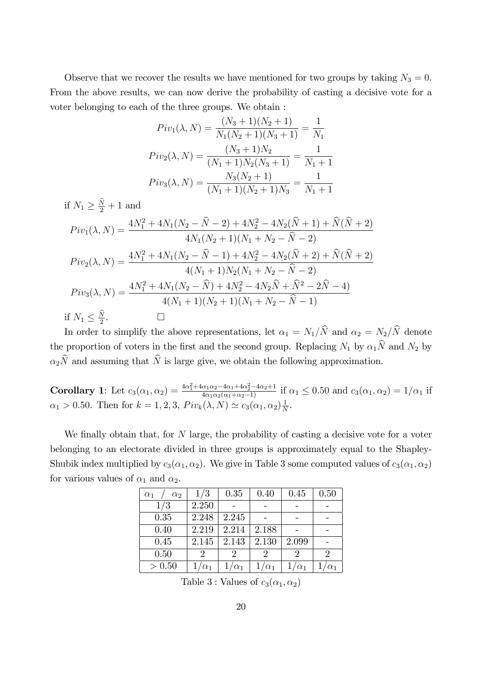Observe that we recover the results we have mentioned for two groups by taking  $N_3 = 0$ . From the above results, we can now derive the probability of casting a decisive vote for a voter belonging to each of the three groups. We obtain :

$$
Piv_1(\lambda, N) = \frac{(N_3 + 1)(N_2 + 1)}{N_1(N_2 + 1)(N_3 + 1)} = \frac{1}{N_1}
$$

$$
Piv_2(\lambda, N) = \frac{(N_3 + 1)N_2}{(N_1 + 1)N_2(N_3 + 1)} = \frac{1}{N_1 + 1}
$$

$$
Piv_3(\lambda, N) = \frac{N_3(N_2 + 1)}{(N_1 + 1)(N_2 + 1)N_3} = \frac{1}{N_1 + 1}
$$

if  $N_1 \geq \frac{N}{2} + 1$  and  $Piv_1(\lambda, N) = \frac{4N_1^2 + 4N_1(N_2 - \hat{N} - 2) + 4N_2^2 - 4N_2(\hat{N} + 1) + \hat{N}(\hat{N} + 2)}{4N_2(N_2 - N_1)(N_2 - N_2)}$  $4N_1(N_2+1)(N_1+N_2-N-2)$  $Piv_2(\lambda, N) = \frac{4N_1^2 + 4N_1(N_2 - \hat{N} - 1) + 4N_2^2 - 4N_2(\hat{N} + 2) + \hat{N}(\hat{N} + 2)}{N_2N_2}$  $4(N_1+1)N_2(N_1+N_2-N-2)$  $Piv_3(\lambda, N) = \frac{4N_1^2 + 4N_1(N_2 - \hat{N}) + 4N_2^2 - 4N_2\hat{N} + \hat{N}^2 - 2\hat{N} - 4)}{(N_1^2 + N_2^2 + N_1N_2 + N_2^2 - 4N_2\hat{N} + \hat{N}^2 - 4N_2\hat{N} - 4)}$  $4(N_1+1)(N_2+1)(N_1+N_2-N-1)$ if  $N_1 \leq \frac{N}{2}$ . — П

In order to simplify the above representations, let  $\alpha_1 = N_1/N$  and  $\alpha_2 = N_2/N$  denote the proportion of voters in the first and the second group. Replacing  $N_1$  by  $\alpha_1\hat{N}$  and  $N_2$  by  $\alpha_2\hat{N}$  and assuming that  $\hat{N}$  is large give, we obtain the following approximation.

**Corollary 1**: Let  $c_3(\alpha_1, \alpha_2) = \frac{4\alpha_1^2 + 4\alpha_1\alpha_2 - 4\alpha_1 + 4\alpha_2^2 - 4\alpha_2 + 1}{4\alpha_1\alpha_2(\alpha_1 + \alpha_2 - 1)}$  if  $\alpha_1 \le 0.50$  and  $c_3(\alpha_1, \alpha_2) = 1/\alpha_1$  if  $\alpha_1 > 0.50$ . Then for  $k = 1, 2, 3$ ,  $Piv_k(\lambda, N) \simeq c_3(\alpha_1, \alpha_2) \frac{1}{N}$  $\frac{1}{N}$ .

We finally obtain that, for N large, the probability of casting a decisive vote for a voter belonging to an electorate divided in three groups is approximately equal to the Shapley-Shubik index multiplied by  $c_3(\alpha_1, \alpha_2)$ . We give in Table 3 some computed values of  $c_3(\alpha_1, \alpha_2)$ for various values of  $\alpha_1$  and  $\alpha_2$ .

| $\alpha_1$<br>$\alpha_2$ | 1/3        | 0.35       | 0.40         | 0.45                        | 0.50       |
|--------------------------|------------|------------|--------------|-----------------------------|------------|
| 1/3                      | 2.250      |            |              |                             |            |
| 0.35                     | 2.248      | 2.245      |              |                             |            |
| 0.40                     | 2.219      | 2.214      | 2.188        |                             |            |
| 0.45                     | 2.145      | 2.143      | 2.130        | 2.099                       |            |
| 0.50                     | 2          | 2          | 2            | $\mathcal{D}_{\mathcal{L}}$ | 2          |
| > 0.50                   | $\alpha_1$ | $\alpha_1$ | $1/\alpha_1$ | $1/\alpha_1$                | $\alpha_1$ |

Table 3 : Values of  $c_3(\alpha_1, \alpha_2)$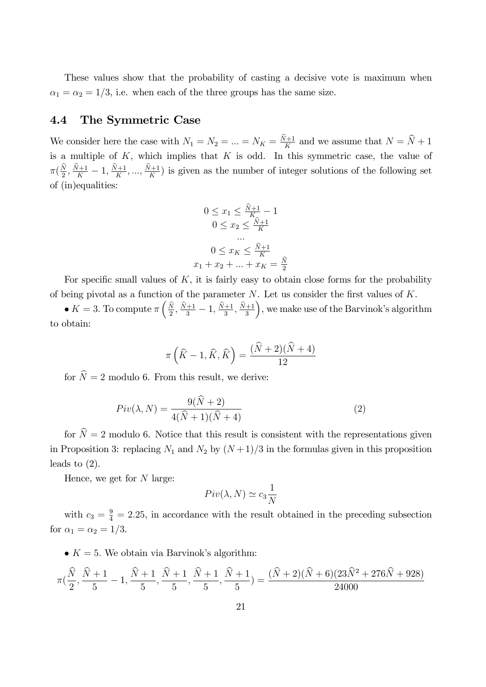These values show that the probability of casting a decisive vote is maximum when  $\alpha_1 = \alpha_2 = 1/3$ , i.e. when each of the three groups has the same size.

### 4.4 The Symmetric Case

We consider here the case with  $N_1 = N_2 = ... = N_K = \frac{N+1}{K}$  and we assume that  $N = \hat{N} + 1$ is a multiple of  $K$ , which implies that  $K$  is odd. In this symmetric case, the value of  $\pi(\frac{N}{2}, \frac{N+1}{K} - 1, \frac{N+1}{K}, ..., \frac{N+1}{K})$  is given as the number of integer solutions of the following set of (in)equalities:

$$
0 \le x_1 \le \frac{\widehat{N}+1}{K} - 1
$$
  

$$
0 \le x_2 \le \frac{\widehat{N}+1}{K}
$$
  
...  

$$
0 \le x_K \le \frac{\widehat{N}+1}{K}
$$
  

$$
x_1 + x_2 + \dots + x_K = \frac{\widehat{N}}{2}
$$

For specific small values of  $K$ , it is fairly easy to obtain close forms for the probability of being pivotal as a function of the parameter  $N$ . Let us consider the first values of  $K$ .

•  $K = 3$ . To compute  $\pi \left( \frac{\hat{N}}{2}, \frac{\hat{N}+1}{3} - 1, \frac{\hat{N}+1}{3}, \frac{\hat{N}+1}{3} \right)$  $\Big)$ , we make use of the Barvinok's algorithm to obtain:

$$
\pi\left(\widehat{K} - 1, \widehat{K}, \widehat{K}\right) = \frac{(\widehat{N} + 2)(\widehat{N} + 4)}{12}
$$

for  $\hat{N} = 2$  modulo 6. From this result, we derive:

$$
Piv(\lambda, N) = \frac{9(\widehat{N} + 2)}{4(\widehat{N} + 1)(\widehat{N} + 4)}
$$
\n(2)

for  $\hat{N} = 2$  modulo 6. Notice that this result is consistent with the representations given in Proposition 3: replacing  $N_1$  and  $N_2$  by  $(N+1)/3$  in the formulas given in this proposition leads to  $(2)$ .

Hence, we get for  $N$  large:

$$
Piv(\lambda, N) \simeq c_3 \frac{1}{N}
$$

with  $c_3 = \frac{9}{4} = 2.25$ , in accordance with the result obtained in the preceding subsection for  $\alpha_1 = \alpha_2 = 1/3$ .

•  $K = 5$ . We obtain via Barvinok's algorithm:

$$
\pi(\frac{\widehat{N}}{2},\frac{\widehat{N}+1}{5}-1,\frac{\widehat{N}+1}{5},\frac{\widehat{N}+1}{5},\frac{\widehat{N}+1}{5},\frac{\widehat{N}+1}{5})=\frac{(\widehat{N}+2)(\widehat{N}+6)(23\widehat{N}^2+276\widehat{N}+928)}{24000}
$$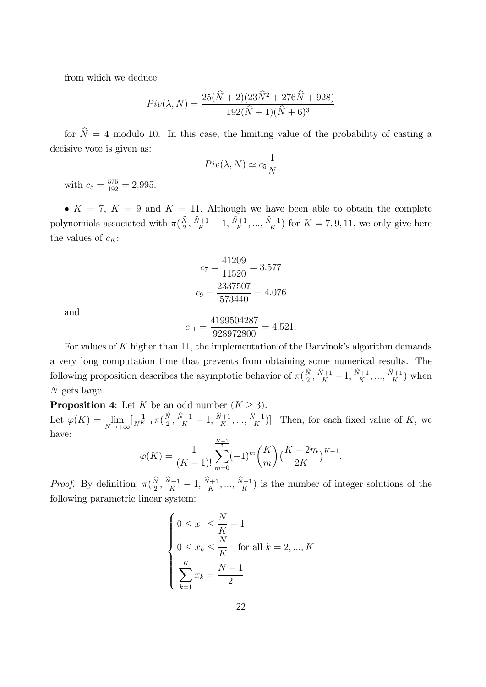from which we deduce

$$
Piv(\lambda, N) = \frac{25(\hat{N} + 2)(23\hat{N}^2 + 276\hat{N} + 928)}{192(\hat{N} + 1)(\hat{N} + 6)^3}
$$

for  $\hat{N} = 4$  modulo 10. In this case, the limiting value of the probability of casting a decisive vote is given as:

$$
Piv(\lambda, N) \simeq c_5 \frac{1}{N}
$$

with  $c_5 = \frac{575}{192} = 2.995$ .

•  $K = 7$ ,  $K = 9$  and  $K = 11$ . Although we have been able to obtain the complete polynomials associated with  $\pi(\frac{N}{2}, \frac{N+1}{K} - 1, \frac{N+1}{K}, ..., \frac{N+1}{K})$  for  $K = 7, 9, 11$ , we only give here the values of  $c_K$ :

$$
c_7 = \frac{41209}{11520} = 3.577
$$

$$
c_9 = \frac{2337507}{573440} = 4.076
$$

and

$$
c_{11} = \frac{4199504287}{928972800} = 4.521.
$$

For values of  $K$  higher than 11, the implementation of the Barvinok's algorithm demands a very long computation time that prevents from obtaining some numerical results. The following proposition describes the asymptotic behavior of  $\pi(\frac{N}{2}, \frac{N+1}{K} - 1, \frac{N+1}{K}, ..., \frac{N+1}{K})$  when N gets large.

**Proposition 4:** Let K be an odd number  $(K \geq 3)$ . Let  $\varphi(K) = \lim$  $N \rightarrow +\infty$  $\left[\frac{1}{N^{K-1}}\pi\left(\frac{N}{2},\frac{N+1}{K}-1,\frac{N+1}{K},...,\frac{N+1}{K}\right)\right]$ . Then, for each fixed value of K, we have:

$$
\varphi(K) = \frac{1}{(K-1)!} \sum_{m=0}^{K-1} (-1)^m {K \choose m} \left(\frac{K-2m}{2K}\right)^{K-1}.
$$

*Proof.* By definition,  $\pi(\frac{N}{2}, \frac{N+1}{K} - 1, \frac{N+1}{K}, ..., \frac{N+1}{K})$  is the number of integer solutions of the following parametric linear system:

$$
\begin{cases}\n0 \leq x_1 \leq \frac{N}{K} - 1 \\
0 \leq x_k \leq \frac{N}{K} \quad \text{for all } k = 2, ..., K \\
\sum_{k=1}^{K} x_k = \frac{N-1}{2}\n\end{cases}
$$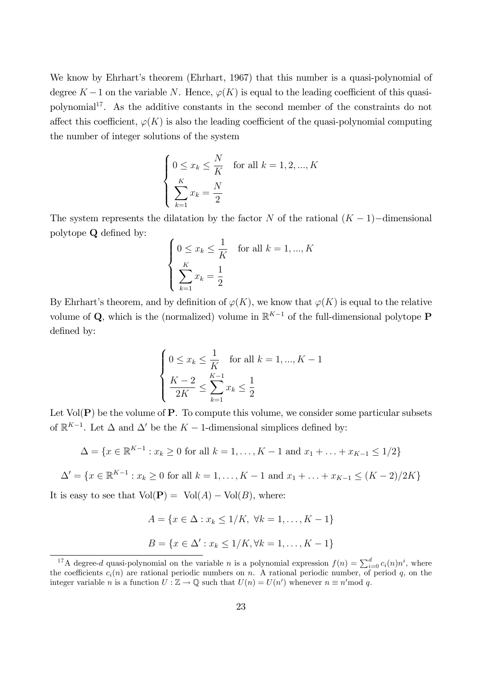We know by Ehrhart's theorem (Ehrhart, 1967) that this number is a quasi-polynomial of degree  $K-1$  on the variable N. Hence,  $\varphi(K)$  is equal to the leading coefficient of this quasipolynomial<sup>17</sup>. As the additive constants in the second member of the constraints do not affect this coefficient,  $\varphi(K)$  is also the leading coefficient of the quasi-polynomial computing the number of integer solutions of the system

$$
\begin{cases} 0 \le x_k \le \frac{N}{K} & \text{for all } k = 1, 2, ..., K\\ \sum_{k=1}^K x_k = \frac{N}{2} \end{cases}
$$

The system represents the dilatation by the factor N of the rational  $(K-1)$ -dimensional polytope  $Q$  defined by:

$$
\begin{cases} 0 \le x_k \le \frac{1}{K} & \text{for all } k = 1, ..., K \\ \sum_{k=1}^K x_k = \frac{1}{2} \end{cases}
$$

By Ehrhart's theorem, and by definition of  $\varphi(K)$ , we know that  $\varphi(K)$  is equal to the relative volume of Q, which is the (normalized) volume in  $\mathbb{R}^{K-1}$  of the full-dimensional polytope P defined by:

$$
\begin{cases} 0 \le x_k \le \frac{1}{K} & \text{for all } k = 1, ..., K - 1\\ \frac{K - 2}{2K} \le \sum_{k=1}^{K - 1} x_k \le \frac{1}{2} \end{cases}
$$

Let  $Vol(\mathbf{P})$  be the volume of  $\mathbf{P}$ . To compute this volume, we consider some particular subsets of  $\mathbb{R}^{K-1}$ . Let  $\Delta$  and  $\Delta'$  be the  $K-1$ -dimensional simplices defined by:

$$
\Delta = \{ x \in \mathbb{R}^{K-1} : x_k \ge 0 \text{ for all } k = 1, ..., K-1 \text{ and } x_1 + ... + x_{K-1} \le 1/2 \}
$$

$$
\Delta' = \{ x \in \mathbb{R}^{K-1} : x_k \ge 0 \text{ for all } k = 1, ..., K-1 \text{ and } x_1 + ... + x_{K-1} \le (K-2)/2K \}
$$

It is easy to see that  $Vol(\mathbf{P}) = Vol(A) - Vol(B)$ , where:

$$
A = \{x \in \Delta : x_k \le 1/K, \ \forall k = 1, ..., K - 1\}
$$

$$
B = \{x \in \Delta' : x_k \le 1/K, \forall k = 1, ..., K - 1\}
$$

<sup>&</sup>lt;sup>17</sup>A degree-d quasi-polynomial on the variable n is a polynomial expression  $f(n) = \sum_{i=0}^{d} c_i(n) n^i$ , where the coefficients  $c_i(n)$  are rational periodic numbers on n. A rational periodic number, of period q, on the integer variable *n* is a function  $U : \mathbb{Z} \to \mathbb{Q}$  such that  $U(n) = U(n')$  whenever  $n \equiv n' \mod q$ .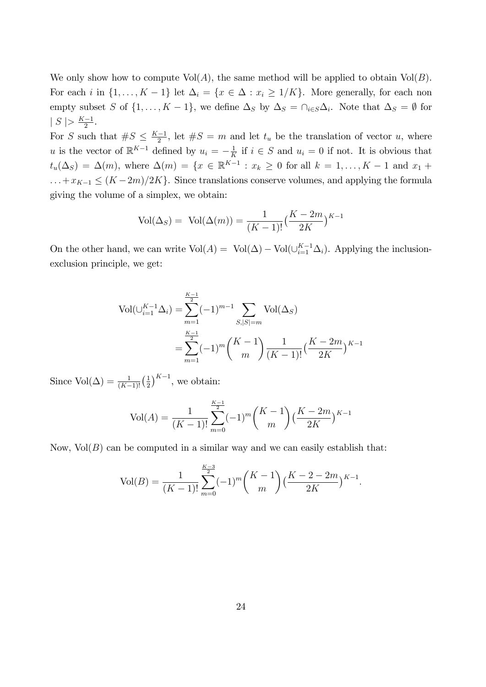We only show how to compute  $Vol(A)$ , the same method will be applied to obtain  $Vol(B)$ . For each i in  $\{1,\ldots,K-1\}$  let  $\Delta_i = \{x \in \Delta : x_i \geq 1/K\}$ . More generally, for each non empty subset S of  $\{1, \ldots, K-1\}$ , we define  $\Delta_S$  by  $\Delta_S = \cap_{i \in S} \Delta_i$ . Note that  $\Delta_S = \emptyset$  for  $|S| > \frac{K-1}{2}.$ 

For S such that  $\#S \leq \frac{K-1}{2}$ , let  $\#S = m$  and let  $t_u$  be the translation of vector u, where u is the vector of  $\mathbb{R}^{K-1}$  defined by  $u_i = -\frac{1}{K}$  $\frac{1}{K}$  if  $i \in S$  and  $u_i = 0$  if not. It is obvious that  $t_u(\Delta_S) = \Delta(m)$ , where  $\Delta(m) = \{x \in \mathbb{R}^{K-1} : x_k \ge 0 \text{ for all } k = 1, ..., K-1 \text{ and } x_1 +$  $\ldots + x_{K-1} \le (K-2m)/2K$ . Since translations conserve volumes, and applying the formula giving the volume of a simplex, we obtain:

$$
Vol(\Delta_S) = Vol(\Delta(m)) = \frac{1}{(K-1)!} \left(\frac{K-2m}{2K}\right)^{K-1}
$$

On the other hand, we can write  $Vol(A) = Vol(\Delta) - Vol(\bigcup_{i=1}^{K-1} \Delta_i)$ . Applying the inclusionexclusion principle, we get:

$$
Vol(\bigcup_{i=1}^{K-1} \Delta_i) = \sum_{m=1}^{\frac{K-1}{2}} (-1)^{m-1} \sum_{S,|S|=m} Vol(\Delta_S)
$$
  
= 
$$
\sum_{m=1}^{\frac{K-1}{2}} (-1)^m {K-1 \choose m} \frac{1}{(K-1)!} {K-2m \choose 2K}^{K-1}
$$

Since  $\text{Vol}(\Delta) = \frac{1}{(K-1)!} \left(\frac{1}{2}\right)$  $(\frac{1}{2})^{K-1}$ , we obtain:

$$
Vol(A) = \frac{1}{(K-1)!} \sum_{m=0}^{K-1} (-1)^m {K-1 \choose m} \left(\frac{K-2m}{2K}\right)^{K-1}
$$

Now,  $Vol(B)$  can be computed in a similar way and we can easily establish that:

$$
\text{Vol}(B) = \frac{1}{(K-1)!} \sum_{m=0}^{K-3} (-1)^m {K-1 \choose m} \left(\frac{K-2-2m}{2K}\right)^{K-1}.
$$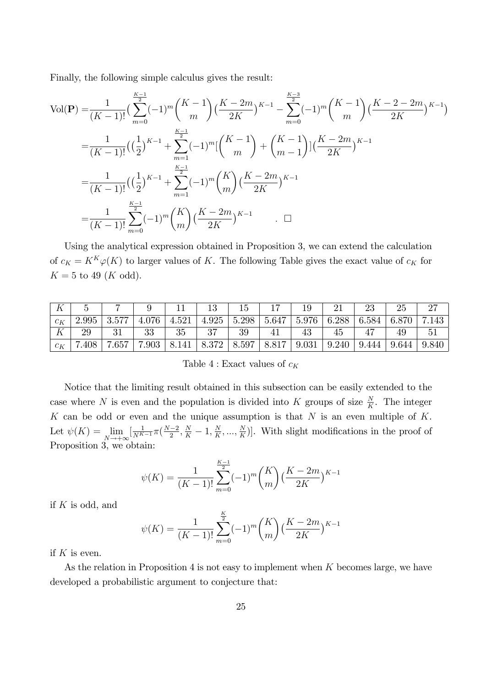Finally, the following simple calculus gives the result:

$$
\text{Vol}(\mathbf{P}) = \frac{1}{(K-1)!} \left( \sum_{m=0}^{K-1} (-1)^m \binom{K-1}{m} \left( \frac{K-2m}{2K} \right)^{K-1} - \sum_{m=0}^{K-3} (-1)^m \binom{K-1}{m} \left( \frac{K-2-2m}{2K} \right)^{K-1} \right)
$$
\n
$$
= \frac{1}{(K-1)!} \left( \left( \frac{1}{2} \right)^{K-1} + \sum_{m=1}^{K-1} (-1)^m \left( \binom{K-1}{m} + \binom{K-1}{m-1} \right) \left( \frac{K-2m}{2K} \right)^{K-1}
$$
\n
$$
= \frac{1}{(K-1)!} \left( \left( \frac{1}{2} \right)^{K-1} + \sum_{m=1}^{K-1} (-1)^m \binom{K}{m} \left( \frac{K-2m}{2K} \right)^{K-1}
$$
\n
$$
= \frac{1}{(K-1)!} \sum_{m=0}^{K-1} (-1)^m \binom{K}{m} \left( \frac{K-2m}{2K} \right)^{K-1} \qquad \Box
$$

Using the analytical expression obtained in Proposition 3, we can extend the calculation of  $c_K = K^K \varphi(K)$  to larger values of K. The following Table gives the exact value of  $c_K$  for  $K = 5$  to 49 (K odd).

| К     |       |       |       |       |       |       |       | 19    |       | 23    | 25    |       |
|-------|-------|-------|-------|-------|-------|-------|-------|-------|-------|-------|-------|-------|
| $c_K$ | 2.995 | 3.577 | 4.076 | 4.521 | 4.925 | 5.298 | 5.647 | 5.976 | 6.288 | 6.584 | 6.870 | 7.143 |
| K     | 29    | 21    | 33    | 35    | 37    | 39    |       |       | 45    |       | 49    |       |
| $c_K$ | .408  | 7.657 | 7.903 | 8.141 | 8.372 | 8.597 | 8.817 | 9.031 | 9.240 | 9.444 | 9.644 | 9.840 |

Table 4 : Exact values of  $c_K$ 

Notice that the limiting result obtained in this subsection can be easily extended to the case where N is even and the population is divided into K groups of size  $\frac{N}{K}$ . The integer  $K$  can be odd or even and the unique assumption is that  $N$  is an even multiple of  $K$ . Let  $\psi(K) = \lim$  $N \rightarrow +\infty$  $\left[\frac{1}{N^{K-1}}\pi\left(\frac{N-2}{2},\frac{N}{K}-1,\frac{N}{K}\right)\right]$  $\frac{N}{K}, \dots, \frac{N}{K}$  $(\frac{N}{K})$ . With slight modifications in the proof of Proposition 3, we obtain:

$$
\psi(K) = \frac{1}{(K-1)!} \sum_{m=0}^{K-1} (-1)^m {K \choose m} \left(\frac{K-2m}{2K}\right)^{K-1}
$$

if  $K$  is odd, and

$$
\psi(K) = \frac{1}{(K-1)!} \sum_{m=0}^{\frac{K}{2}} (-1)^m {K \choose m} \left(\frac{K-2m}{2K}\right)^{K-1}
$$

if  $K$  is even.

As the relation in Proposition 4 is not easy to implement when  $K$  becomes large, we have developed a probabilistic argument to conjecture that: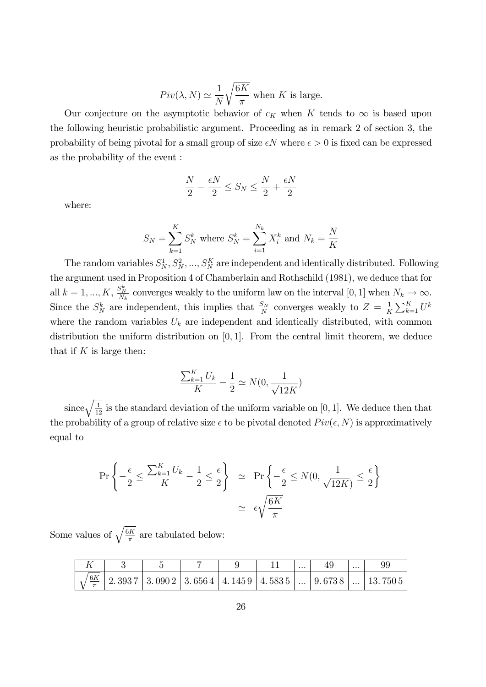$$
Piv(\lambda, N) \simeq \frac{1}{N} \sqrt{\frac{6K}{\pi}}
$$
 when K is large.

Our conjecture on the asymptotic behavior of  $c_K$  when K tends to  $\infty$  is based upon the following heuristic probabilistic argument. Proceeding as in remark 2 of section 3, the probability of being pivotal for a small group of size  $\epsilon N$  where  $\epsilon > 0$  is fixed can be expressed as the probability of the event :

$$
\frac{N}{2} - \frac{\epsilon N}{2} \le S_N \le \frac{N}{2} + \frac{\epsilon N}{2}
$$

where:

$$
S_N = \sum_{k=1}^K S_N^k
$$
 where 
$$
S_N^k = \sum_{i=1}^{N_k} X_i^k
$$
 and 
$$
N_k = \frac{N}{K}
$$

The random variables  $S_N^1, S_N^2, ..., S_N^K$  are independent and identically distributed. Following the argument used in Proposition 4 of Chamberlain and Rothschild (1981), we deduce that for all  $k = 1, ..., K$ ,  $\frac{S_N^k}{N_k}$  converges weakly to the uniform law on the interval  $[0, 1]$  when  $N_k \to \infty$ . Since the  $S_N^k$  are independent, this implies that  $\frac{S_N}{N}$  converges weakly to  $Z = \frac{1}{K}$  $\frac{1}{K}\sum_{k=1}^K U^k$ where the random variables  $U_k$  are independent and identically distributed, with common distribution the uniform distribution on [0; 1]. From the central limit theorem, we deduce that if  $K$  is large then:

$$
\frac{\sum_{k=1}^{K} U_k}{K} - \frac{1}{2} \simeq N(0, \frac{1}{\sqrt{12K}})
$$

since  $\sqrt{\frac{1}{12}}$  is the standard deviation of the uniform variable on [0, 1]. We deduce then that the probability of a group of relative size  $\epsilon$  to be pivotal denoted  $Piv(\epsilon, N)$  is approximatively equal to

$$
\Pr\left\{-\frac{\epsilon}{2} \le \frac{\sum_{k=1}^K U_k}{K} - \frac{1}{2} \le \frac{\epsilon}{2}\right\} \quad \simeq \quad \Pr\left\{-\frac{\epsilon}{2} \le N(0, \frac{1}{\sqrt{12K}}) \le \frac{\epsilon}{2}\right\}
$$
\n
$$
\approx \quad \epsilon \sqrt{\frac{6K}{\pi}}
$$

Some values of  $\sqrt{\frac{6K}{\pi}}$  $\frac{dK}{\pi}$  are tabulated below:

|       |  |  | $\cdots$ | $\cdots$ |                                                                                                                                                 |
|-------|--|--|----------|----------|-------------------------------------------------------------------------------------------------------------------------------------------------|
| $\pi$ |  |  |          |          | $\alpha\big/\frac{6K}{2}\mid 2.\,393\,7\mid 3.\,090\,2\mid 3.\,656\,4\mid 4.\,145\,9\mid 4.\,583\,5\mid\mid 9.\,673\,8\mid\mid 13.\,750\,5\mid$ |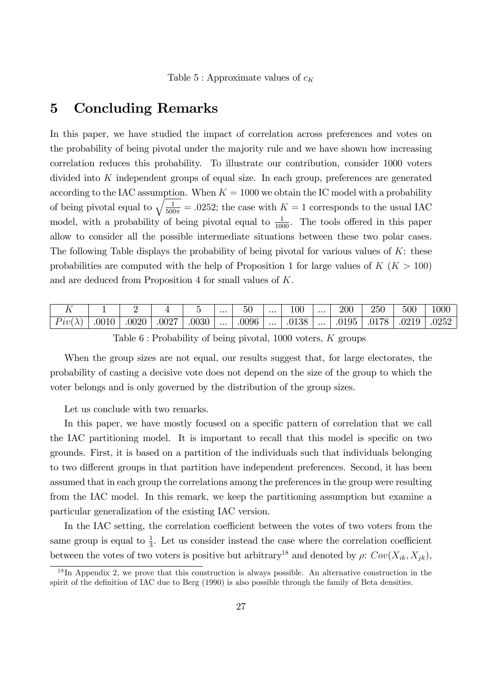Table 5 : Approximate values of  $c_K$ 

## 5 Concluding Remarks

In this paper, we have studied the impact of correlation across preferences and votes on the probability of being pivotal under the majority rule and we have shown how increasing correlation reduces this probability. To illustrate our contribution, consider 1000 voters divided into K independent groups of equal size. In each group, preferences are generated according to the IAC assumption. When  $K = 1000$  we obtain the IC model with a probability of being pivotal equal to  $\sqrt{\frac{1}{500\pi}} = .0252$ ; the case with  $K = 1$  corresponds to the usual IAC model, with a probability of being pivotal equal to  $\frac{1}{1000}$ . The tools offered in this paper allow to consider all the possible intermediate situations between these two polar cases. The following Table displays the probability of being pivotal for various values of  $K$ : these probabilities are computed with the help of Proposition 1 for large values of  $K$  ( $K > 100$ ) and are deduced from Proposition 4 for small values of K.

| . .                                          |       | -     |       |       | $\cdots$ | $\sim$ $\sim$<br>ას | $\cdots$ | 100  | $\cdots$ | 200   | 250                  | 500           | 1000  |
|----------------------------------------------|-------|-------|-------|-------|----------|---------------------|----------|------|----------|-------|----------------------|---------------|-------|
| $\overline{\phantom{a}}$<br>$\mathit{P}vv$ ( | .0010 | .0020 | .0027 | .0030 | $\cdots$ | .0096               | $\cdots$ | 0138 | $\cdots$ | .0195 | $\sim$ $\sim$ $\sim$ | 0.010<br>U415 | .0252 |

Table  $6:$  Probability of being pivotal, 1000 voters,  $K$  groups

When the group sizes are not equal, our results suggest that, for large electorates, the probability of casting a decisive vote does not depend on the size of the group to which the voter belongs and is only governed by the distribution of the group sizes.

Let us conclude with two remarks.

In this paper, we have mostly focused on a specific pattern of correlation that we call the IAC partitioning model. It is important to recall that this model is specific on two grounds. First, it is based on a partition of the individuals such that individuals belonging to two different groups in that partition have independent preferences. Second, it has been assumed that in each group the correlations among the preferences in the group were resulting from the IAC model. In this remark, we keep the partitioning assumption but examine a particular generalization of the existing IAC version.

In the IAC setting, the correlation coefficient between the votes of two voters from the same group is equal to  $\frac{1}{3}$ . Let us consider instead the case where the correlation coefficient between the votes of two voters is positive but arbitrary<sup>18</sup> and denoted by  $\rho$ :  $Cov(X_{ik}, X_{jk})$ ,

 $18$  In Appendix 2, we prove that this construction is always possible. An alternative construction in the spirit of the definition of IAC due to Berg (1990) is also possible through the family of Beta densities.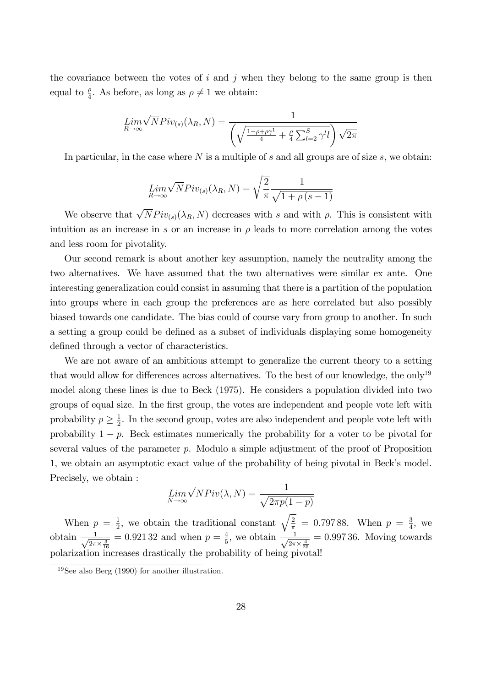the covariance between the votes of i and j when they belong to the same group is then equal to  $\frac{\rho}{4}$ . As before, as long as  $\rho \neq 1$  we obtain:

$$
\lim_{R \to \infty} \sqrt{N} Piv_{(s)}(\lambda_R, N) = \frac{1}{\left(\sqrt{\frac{1 - \rho + \rho \gamma^1}{4} + \frac{\rho}{4} \sum_{l=2}^S \gamma^l l}\right) \sqrt{2\pi}}
$$

In particular, in the case where  $N$  is a multiple of  $s$  and all groups are of size  $s$ , we obtain:

$$
\lim_{R \to \infty} \sqrt{N}Piv_{(s)}(\lambda_R, N) = \sqrt{\frac{2}{\pi}} \frac{1}{\sqrt{1 + \rho(s - 1)}}
$$

We observe that  $\sqrt{N}Piv_{(s)}(\lambda_R, N)$  decreases with s and with  $\rho$ . This is consistent with intuition as an increase in s or an increase in  $\rho$  leads to more correlation among the votes and less room for pivotality.

Our second remark is about another key assumption, namely the neutrality among the two alternatives. We have assumed that the two alternatives were similar ex ante. One interesting generalization could consist in assuming that there is a partition of the population into groups where in each group the preferences are as here correlated but also possibly biased towards one candidate. The bias could of course vary from group to another. In such a setting a group could be defined as a subset of individuals displaying some homogeneity defined through a vector of characteristics.

We are not aware of an ambitious attempt to generalize the current theory to a setting that would allow for differences across alternatives. To the best of our knowledge, the only<sup>19</sup> model along these lines is due to Beck (1975). He considers a population divided into two groups of equal size. In the Örst group, the votes are independent and people vote left with probability  $p \geq \frac{1}{2}$  $\frac{1}{2}$ . In the second group, votes are also independent and people vote left with probability  $1 - p$ . Beck estimates numerically the probability for a voter to be pivotal for several values of the parameter  $p$ . Modulo a simple adjustment of the proof of Proposition 1, we obtain an asymptotic exact value of the probability of being pivotal in Beckís model. Precisely, we obtain :

$$
\lim_{N \to \infty} \sqrt{N}Piv(\lambda, N) = \frac{1}{\sqrt{2\pi p(1-p)}}
$$

When  $p = \frac{1}{2}$  $\frac{1}{2}$ , we obtain the traditional constant  $\sqrt{\frac{2}{\pi}} = 0.79788$ . When  $p = \frac{3}{4}$  $\frac{3}{4}$ , we obtain  $\frac{1}{\sqrt{2\pi}}$  $2\pi\times\frac{3}{16}$  $= 0.92132$  and when  $p = \frac{4}{5}$  $\frac{4}{5}$ , we obtain  $\frac{1}{\sqrt{2\pi}}$  $2\pi\times\frac{4}{25}$  $= 0.99736$ . Moving towards polarization increases drastically the probability of being pivotal!

<sup>19</sup>See also Berg (1990) for another illustration.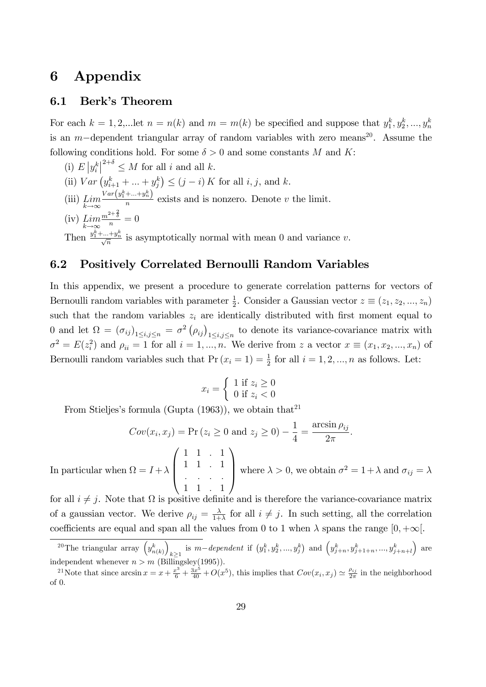## 6 Appendix

#### 6.1 Berk's Theorem

For each  $k = 1, 2,...$  let  $n = n(k)$  and  $m = m(k)$  be specified and suppose that  $y_1^k, y_2^k, ..., y_n^k$ is an  $m$ -dependent triangular array of random variables with zero means<sup>20</sup>. Assume the following conditions hold. For some  $\delta > 0$  and some constants M and K:

- (i)  $E |y_i^k|^{2+\delta} \leq M$  for all i and all k.
- (ii)  $Var(y_{i+1}^k + ... + y_j^k) \le (j i) K$  for all  $i, j$ , and  $k$ .
- (iii) Lim  $k\rightarrow\infty$  $Var(y_1^k + ... + y_n^k)$  $\frac{n(n+1)(n-1)}{n}$  exists and is nonzero. Denote v the limit. (iv)  $\lim_{k \to \infty} \frac{m^{2+\frac{2}{\delta}}}{n} = 0$

 $k \rightarrow \infty$ Then  $\frac{y_1^k + \dots + y_n^k}{\sqrt{n}}$  is asymptotically normal with mean 0 and variance v.

### 6.2 Positively Correlated Bernoulli Random Variables

In this appendix, we present a procedure to generate correlation patterns for vectors of Bernoulli random variables with parameter  $\frac{1}{2}$ . Consider a Gaussian vector  $z \equiv (z_1, z_2, ..., z_n)$ such that the random variables  $z_i$  are identically distributed with first moment equal to 0 and let  $\Omega = (\sigma_{ij})_{1 \le i,j \le n} = \sigma^2 (\rho_{ij})_{1 \le i,j \le n}$  to denote its variance-covariance matrix with  $\sigma^2 = E(z_i^2)$  and  $\rho_{ii} = 1$  for all  $i = 1, ..., n$ . We derive from z a vector  $x \equiv (x_1, x_2, ..., x_n)$  of Bernoulli random variables such that  $Pr(x_i = 1) = \frac{1}{2}$  for all  $i = 1, 2, ..., n$  as follows. Let:

$$
x_i = \begin{cases} 1 \text{ if } z_i \ge 0\\ 0 \text{ if } z_i < 0 \end{cases}
$$

From Stieljes's formula (Gupta  $(1963)$ ), we obtain that<sup>21</sup>

$$
Cov(x_i, x_j) = \Pr(z_i \ge 0 \text{ and } z_j \ge 0) - \frac{1}{4} = \frac{\arcsin \rho_{ij}}{2\pi}.
$$
  
In particular when  $\Omega = I + \lambda \begin{pmatrix} 1 & 1 & 1 \\ 1 & 1 & 1 \\ \vdots & \vdots & \vdots \\ 1 & 1 & 1 \end{pmatrix}$  where  $\lambda > 0$ , we obtain  $\sigma^2 = 1 + \lambda$  and  $\sigma_{ij} = \lambda$ 

for all  $i \neq j$ . Note that  $\Omega$  is positive definite and is therefore the variance-covariance matrix of a gaussian vector. We derive  $\rho_{ij} = \frac{\lambda}{1 + i}$  $\frac{\lambda}{1+\lambda}$  for all  $i \neq j$ . In such setting, all the correlation coefficients are equal and span all the values from 0 to 1 when  $\lambda$  spans the range  $[0, +\infty[$ .

<sup>&</sup>lt;sup>20</sup>The triangular array  $(y_{n(k)}^k)$ is m-dependent if  $(y_1^k, y_2^k, ..., y_j^k)$  and  $(y_{j+n}^k, y_{j+1+n}^k, ..., y_{j+n+l}^k)$  are independent whenever  $n > m$  (Billingsley(1995)).

<sup>&</sup>lt;sup>21</sup>Note that since  $\arcsin x = x + \frac{x^3}{6} + \frac{3x^5}{40} + O(x^5)$ , this implies that  $Cov(x_i, x_j) \simeq \frac{\rho_{ij}}{2\pi}$  in the neighborhood of 0.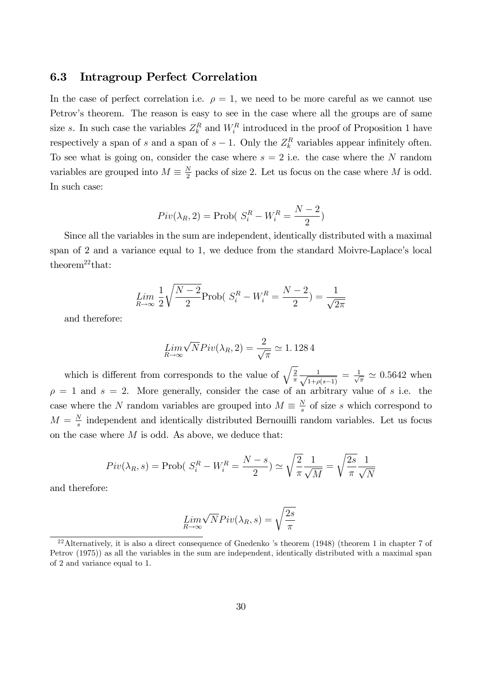#### 6.3 Intragroup Perfect Correlation

In the case of perfect correlation i.e.  $\rho = 1$ , we need to be more careful as we cannot use Petrov's theorem. The reason is easy to see in the case where all the groups are of same size s. In such case the variables  $Z_k^R$  and  $W_i^R$  introduced in the proof of Proposition 1 have respectively a span of s and a span of  $s-1$ . Only the  $Z_k^R$  variables appear infinitely often. To see what is going on, consider the case where  $s = 2$  i.e. the case where the N random variables are grouped into  $M \equiv \frac{N}{2}$  $\frac{N}{2}$  packs of size 2. Let us focus on the case where M is odd. In such case:

$$
Piv(\lambda_R, 2) = \text{Prob}(S_i^R - W_i^R = \frac{N-2}{2})
$$

Since all the variables in the sum are independent, identically distributed with a maximal span of 2 and a variance equal to 1, we deduce from the standard Moivre-Laplace's local theorem $^{22}$ that:

$$
\lim_{R \to \infty} \frac{1}{2} \sqrt{\frac{N-2}{2}} Prob(|S_i^R - W_i^R| = \frac{N-2}{2}) = \frac{1}{\sqrt{2\pi}}
$$

and therefore:

$$
\lim_{R \to \infty} \sqrt{N} Piv(\lambda_R, 2) = \frac{2}{\sqrt{\pi}} \simeq 1.1284
$$

which is different from corresponds to the value of  $\sqrt{\frac{2}{\pi}}$  $rac{2}{\pi} \frac{1}{\sqrt{1+a}}$  $1+\rho(s-1)$  $=$   $\frac{1}{\sqrt{\pi}} \simeq 0.5642$  when  $\rho = 1$  and  $s = 2$ . More generally, consider the case of an arbitrary value of s i.e. the case where the N random variables are grouped into  $M \equiv \frac{N}{s}$  $\frac{N}{s}$  of size s which correspond to  $M = \frac{N}{s}$  $\frac{N}{s}$  independent and identically distributed Bernouilli random variables. Let us focus on the case where  $M$  is odd. As above, we deduce that:

$$
Piv(\lambda_R, s) = \text{Prob}(S_i^R - W_i^R = \frac{N - s}{2}) \simeq \sqrt{\frac{2}{\pi}} \frac{1}{\sqrt{M}} = \sqrt{\frac{2s}{\pi}} \frac{1}{\sqrt{N}}
$$

and therefore:

$$
\underset{R\rightarrow\infty}{Lim}\sqrt{N}Piv(\lambda_R,s)=\sqrt{\frac{2s}{\pi}}
$$

 $22$ Alternatively, it is also a direct consequence of Gnedenko 's theorem (1948) (theorem 1 in chapter 7 of Petrov (1975)) as all the variables in the sum are independent, identically distributed with a maximal span of 2 and variance equal to 1.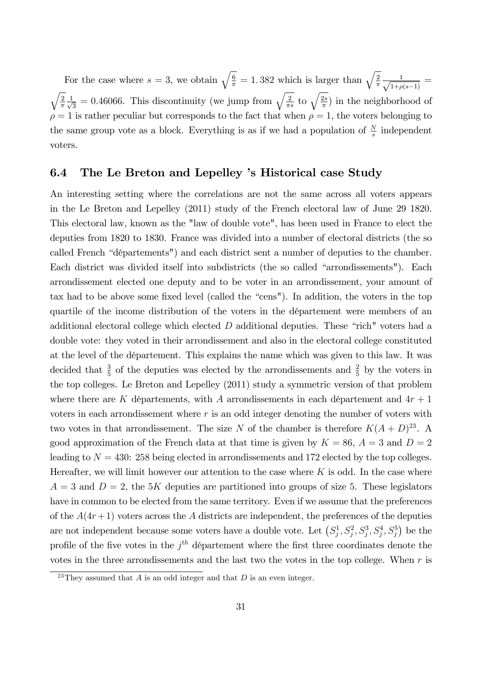For the case where  $s = 3$ , we obtain  $\sqrt{\frac{6}{\pi}} = 1.382$  which is larger than  $\sqrt{\frac{2}{\pi}}$  $rac{2}{\pi} \frac{1}{\sqrt{1+a}}$  $1+\rho(s-1)$ =  $\sqrt{2}$  $\frac{2}{\pi}$  $\frac{1}{\sqrt{2}}$  $\overline{3} = 0.46066$ . This discontinuity (we jump from  $\sqrt{\frac{2}{\pi}}$ .  $\sqrt{\frac{2}{\pi s}}$  to  $\sqrt{\frac{2s}{\pi}}$  $\frac{2s}{\pi}$ ) in the neighborhood of  $\rho = 1$  is rather peculiar but corresponds to the fact that when  $\rho = 1$ , the voters belonging to the same group vote as a block. Everything is as if we had a population of  $\frac{N}{s}$  independent voters.

#### 6.4 The Le Breton and Lepelley 's Historical case Study

An interesting setting where the correlations are not the same across all voters appears in the Le Breton and Lepelley (2011) study of the French electoral law of June 29 1820. This electoral law, known as the "law of double vote", has been used in France to elect the deputies from 1820 to 1830. France was divided into a number of electoral districts (the so called French "départements") and each district sent a number of deputies to the chamber. Each district was divided itself into subdistricts (the so called "arrondissements"). Each arrondissement elected one deputy and to be voter in an arrondissement, your amount of tax had to be above some fixed level (called the "cens"). In addition, the voters in the top quartile of the income distribution of the voters in the département were members of an additional electoral college which elected  $D$  additional deputies. These "rich" voters had a double vote: they voted in their arrondissement and also in the electoral college constituted at the level of the département. This explains the name which was given to this law. It was decided that  $\frac{3}{5}$  of the deputies was elected by the arrondissements and  $\frac{2}{5}$  by the voters in the top colleges. Le Breton and Lepelley (2011) study a symmetric version of that problem where there are K départements, with A arrondissements in each département and  $4r+1$ voters in each arrondissement where  $r$  is an odd integer denoting the number of voters with two votes in that arrondissement. The size N of the chamber is therefore  $K(A+D)^{23}$ . A good approximation of the French data at that time is given by  $K = 86$ ,  $A = 3$  and  $D = 2$ leading to  $N = 430$ : 258 being elected in arrondissements and 172 elected by the top colleges. Hereafter, we will limit however our attention to the case where  $K$  is odd. In the case where  $A = 3$  and  $D = 2$ , the 5K deputies are partitioned into groups of size 5. These legislators have in common to be elected from the same territory. Even if we assume that the preferences of the  $A(4r+1)$  voters across the A districts are independent, the preferences of the deputies are not independent because some voters have a double vote. Let  $(S_j^1, S_j^2, S_j^3, S_j^4, S_j^5)$  be the profile of the five votes in the  $j<sup>th</sup>$  département where the first three coordinates denote the votes in the three arrondissements and the last two the votes in the top college. When  $r$  is

<sup>&</sup>lt;sup>23</sup>They assumed that  $A$  is an odd integer and that  $D$  is an even integer.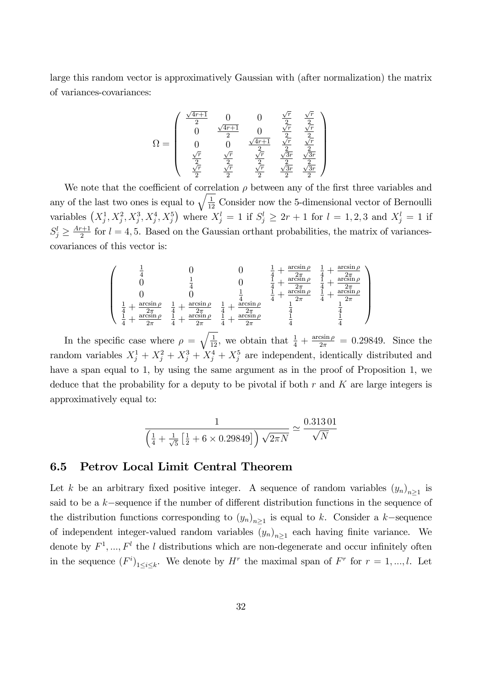large this random vector is approximatively Gaussian with (after normalization) the matrix of variances-covariances:

$$
\Omega = \left(\begin{array}{cccc} \frac{\sqrt{4r+1}}{2} & 0 & 0 & \frac{\sqrt{r}}{2} & \frac{\sqrt{r}}{2} \\ 0 & \frac{\sqrt{4r+1}}{2} & 0 & \frac{\sqrt{r}}{2} & \frac{\sqrt{r}}{2} \\ 0 & 0 & \frac{\sqrt{4r+1}}{2} & \frac{\sqrt{r}}{2} & \frac{\sqrt{r}}{2} \\ \frac{\sqrt{r}}{2} & \frac{\sqrt{r}}{2} & \frac{\sqrt{r}}{2} & \frac{\sqrt{3r}}{2} & \frac{\sqrt{3r}}{2} \\ \frac{\sqrt{r}}{2} & \frac{\sqrt{r}}{2} & \frac{\sqrt{r}}{2} & \frac{\sqrt{3r}}{2} & \frac{\sqrt{3r}}{2} \\ \frac{\sqrt{r}}{2} & \frac{\sqrt{r}}{2} & \frac{\sqrt{r}}{2} & \frac{\sqrt{3r}}{2} & \frac{\sqrt{3r}}{2} \\ \end{array}\right)
$$

We note that the coefficient of correlation  $\rho$  between any of the first three variables and any of the last two ones is equal to  $\sqrt{\frac{1}{12}}$  Consider now the 5-dimensional vector of Bernoulli variables  $(X_j^1, X_j^2, X_j^3, X_j^4, X_j^5)$  where  $X_j^l = 1$  if  $S_j^l \ge 2r + 1$  for  $l = 1, 2, 3$  and  $X_j^l = 1$  if  $S_j^l \geq \frac{Ar+1}{2}$  $\frac{1}{2}$  for  $l = 4, 5$ . Based on the Gaussian orthant probabilities, the matrix of variancescovariances of this vector is:

$$
\left(\begin{array}{cccc} \frac{1}{4} & 0 & 0 & \frac{1}{4} + \frac{\arcsin\rho}{2\pi} & \frac{1}{4} + \frac{\arcsin\rho}{2\pi} \\ 0 & \frac{1}{4} & 0 & \frac{1}{4} + \frac{\arcsin\rho}{2\pi} & \frac{1}{4} + \frac{\arcsin\rho}{2\pi} \\ \frac{1}{4} + \frac{\arcsin\rho}{2\pi} & \frac{1}{4} + \frac{\arcsin\rho}{2\pi} & \frac{1}{4} + \frac{\arcsin\rho}{2\pi} & \frac{1}{4} + \frac{\arcsin\rho}{2\pi} \\ \frac{1}{4} + \frac{\arcsin\rho}{2\pi} & \frac{1}{4} + \frac{\arcsin\rho}{2\pi} & \frac{1}{4} + \frac{\arcsin\rho}{2\pi} & \frac{1}{4} & \frac{1}{4} \\ \frac{1}{4} + \frac{\arcsin\rho}{2\pi} & \frac{1}{4} + \frac{\arcsin\rho}{2\pi} & \frac{1}{4} + \frac{\arcsin\rho}{2\pi} & \frac{1}{4} & \frac{1}{4} \end{array}\right)
$$

In the specific case where  $\rho = \sqrt{\frac{1}{12}}$ , we obtain that  $\frac{1}{4} + \frac{\arcsin \rho}{2\pi} = 0.29849$ . Since the random variables  $X_j^1 + X_j^2 + X_j^3 + X_j^4 + X_j^5$  are independent, identically distributed and have a span equal to 1, by using the same argument as in the proof of Proposition 1, we deduce that the probability for a deputy to be pivotal if both  $r$  and  $K$  are large integers is approximatively equal to:

$$
\frac{1}{\left(\frac{1}{4} + \frac{1}{\sqrt{5}} \left[\frac{1}{2} + 6 \times 0.29849\right]\right) \sqrt{2\pi N}} \simeq \frac{0.31301}{\sqrt{N}}
$$

#### 6.5 Petrov Local Limit Central Theorem

Let k be an arbitrary fixed positive integer. A sequence of random variables  $(y_n)_{n\geq1}$  is said to be a  $k$ -sequence if the number of different distribution functions in the sequence of the distribution functions corresponding to  $(y_n)_{n\geq 1}$  is equal to k. Consider a k-sequence of independent integer-valued random variables  $(y_n)_{n\geq1}$  each having finite variance. We denote by  $F^1, ..., F^l$  the l distributions which are non-degenerate and occur infinitely often in the sequence  $(F^i)_{1 \leq i \leq k}$ . We denote by  $H^r$  the maximal span of  $F^r$  for  $r = 1, ..., l$ . Let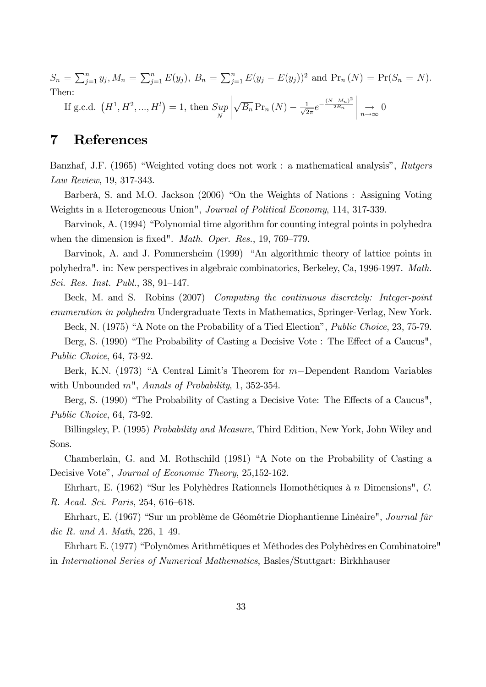$S_n = \sum_{j=1}^n y_j, M_n = \sum_{j=1}^n E(y_j), B_n = \sum_{j=1}^n E(y_j - E(y_j))^2$  and  $Pr_n(N) = Pr(S_n = N)$ . Then:

If g.c.d.  $(H^1, H^2, ..., H^l) = 1$ , then  $Sup$ N  $\sqrt{B_n} \Pr_n(N) - \frac{1}{\sqrt{2}}$  $\frac{1}{2\pi}e^{-\frac{(N-M_n)^2}{2B_n}}$  $\left.\frac{-M_n)^2}{2B_n}\right| \longrightarrow 0$ 

## 7 References

Banzhaf, J.F. (1965) "Weighted voting does not work : a mathematical analysis", Rutgers Law Review, 19, 317-343.

Barberà, S. and M.O. Jackson (2006) "On the Weights of Nations : Assigning Voting Weights in a Heterogeneous Union", Journal of Political Economy, 114, 317-339.

Barvinok, A. (1994) "Polynomial time algorithm for counting integral points in polyhedra when the dimension is fixed". Math. Oper. Res., 19, 769–779.

Barvinok, A. and J. Pommersheim (1999) "An algorithmic theory of lattice points in polyhedra". in: New perspectives in algebraic combinatorics, Berkeley, Ca, 1996-1997. Math. Sci. Res. Inst. Publ., 38, 91–147.

Beck, M. and S. Robins (2007) Computing the continuous discretely: Integer-point enumeration in polyhedra Undergraduate Texts in Mathematics, Springer-Verlag, New York.

Beck, N. (1975) "A Note on the Probability of a Tied Election", *Public Choice*, 23, 75-79.

Berg, S. (1990) "The Probability of Casting a Decisive Vote : The Effect of a Caucus", Public Choice, 64, 73-92.

Berk, K.N. (1973) "A Central Limit's Theorem for  $m$ -Dependent Random Variables with Unbounded  $m$ ", Annals of Probability, 1, 352-354.

Berg, S. (1990) "The Probability of Casting a Decisive Vote: The Effects of a Caucus", Public Choice, 64, 73-92.

Billingsley, P. (1995) Probability and Measure, Third Edition, New York, John Wiley and Sons.

Chamberlain, G. and M. Rothschild (1981) "A Note on the Probability of Casting a Decisive Vote", *Journal of Economic Theory*, 25,152-162.

Ehrhart, E. (1962) "Sur les Polyhèdres Rationnels Homothétiques à  $n$  Dimensions", C. R. Acad. Sci. Paris, 254, 616–618.

Ehrhart, E. (1967) "Sur un problème de Géométrie Diophantienne Linéaire", Journal fûr die R. und A. Math, 226, 1–49.

Ehrhart E. (1977) "Polynômes Arithmétiques et Méthodes des Polyhèdres en Combinatoire" in International Series of Numerical Mathematics, Basles/Stuttgart: Birkhhauser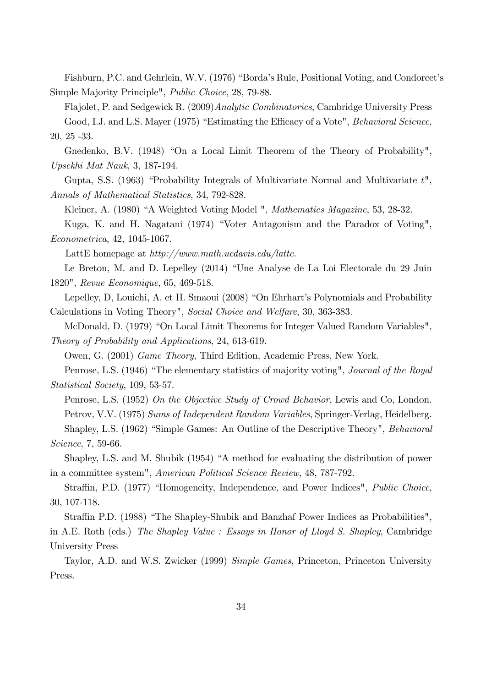Fishburn, P.C. and Gehrlein, W.V. (1976) "Borda's Rule, Positional Voting, and Condorcet's Simple Majority Principle", Public Choice, 28, 79-88.

Flajolet, P. and Sedgewick R. (2009)Analytic Combinatorics, Cambridge University Press Good, I.J. and L.S. Mayer (1975) "Estimating the Efficacy of a Vote", Behavioral Science, 20, 25 -33.

Gnedenko, B.V.  $(1948)$  "On a Local Limit Theorem of the Theory of Probability", Upsekhi Mat Nauk, 3, 187-194.

Gupta, S.S. (1963) "Probability Integrals of Multivariate Normal and Multivariate  $t$ ", Annals of Mathematical Statistics, 34, 792-828.

Kleiner, A. (1980) "A Weighted Voting Model ", *Mathematics Magazine*, 53, 28-32.

Kuga, K. and H. Nagatani (1974) "Voter Antagonism and the Paradox of Voting", Econometrica, 42, 1045-1067.

LattE homepage at http://www.math.ucdavis.edu/latte.

Le Breton, M. and D. Lepelley (2014) "Une Analyse de La Loi Electorale du 29 Juin 1820", Revue Economique, 65, 469-518.

Lepelley, D, Louichi, A. et H. Smaoui (2008) "On Ehrhart's Polynomials and Probability Calculations in Voting Theory", Social Choice and Welfare, 30, 363-383.

McDonald, D. (1979) "On Local Limit Theorems for Integer Valued Random Variables", Theory of Probability and Applications, 24, 613-619.

Owen, G. (2001) Game Theory, Third Edition, Academic Press, New York.

Penrose, L.S. (1946) "The elementary statistics of majority voting", *Journal of the Royal* Statistical Society, 109, 53-57.

Penrose, L.S. (1952) On the Objective Study of Crowd Behavior, Lewis and Co, London. Petrov, V.V. (1975) Sums of Independent Random Variables, Springer-Verlag, Heidelberg. Shapley, L.S. (1962) "Simple Games: An Outline of the Descriptive Theory", Behavioral Science, 7, 59-66.

Shapley, L.S. and M. Shubik (1954) "A method for evaluating the distribution of power in a committee system", American Political Science Review, 48, 787-792.

Straffin, P.D. (1977) "Homogeneity, Independence, and Power Indices", Public Choice, 30, 107-118.

Straffin P.D. (1988) "The Shapley-Shubik and Banzhaf Power Indices as Probabilities", in A.E. Roth (eds.) The Shapley Value : Essays in Honor of Lloyd S. Shapley, Cambridge University Press

Taylor, A.D. and W.S. Zwicker (1999) Simple Games, Princeton, Princeton University Press.